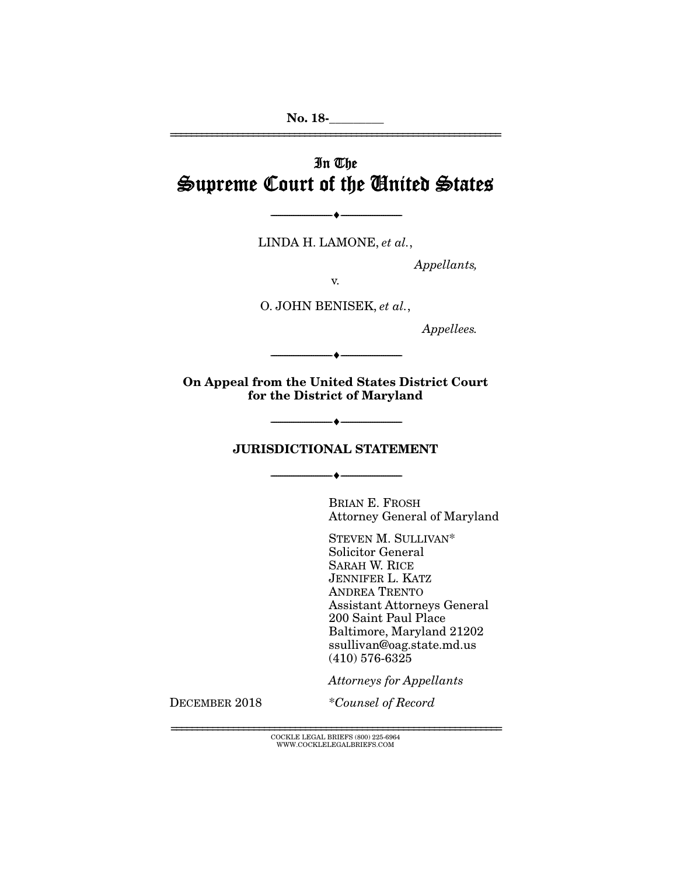No. 18-\_\_\_\_\_\_\_\_\_

# In The Supreme Court of the United States

LINDA H. LAMONE, *et al.*,

--------------------------------- ---------------------------------

*Appellants,* 

================================================================

v.

O. JOHN BENISEK, *et al.*,

*Appellees.* 

On Appeal from the United States District Court for the District of Maryland

--------------------------------- ---------------------------------

#### JURISDICTIONAL STATEMENT

--------------------------------- ---------------------------------

 $\bullet$   $-$ 

BRIAN E. FROSH Attorney General of Maryland

STEVEN M. SULLIVAN\* Solicitor General SARAH W. RICE JENNIFER L. KATZ ANDREA TRENTO Assistant Attorneys General 200 Saint Paul Place Baltimore, Maryland 21202 ssullivan@oag.state.md.us (410) 576-6325

*Attorneys for Appellants*

DECEMBER 2018 \**Counsel of Record*

 $\overline{C}$  COCKLE LEGAL BRIEFS (800) 225-6964  $\overline{C}$ WWW.COCKLELEGALBRIEFS.COM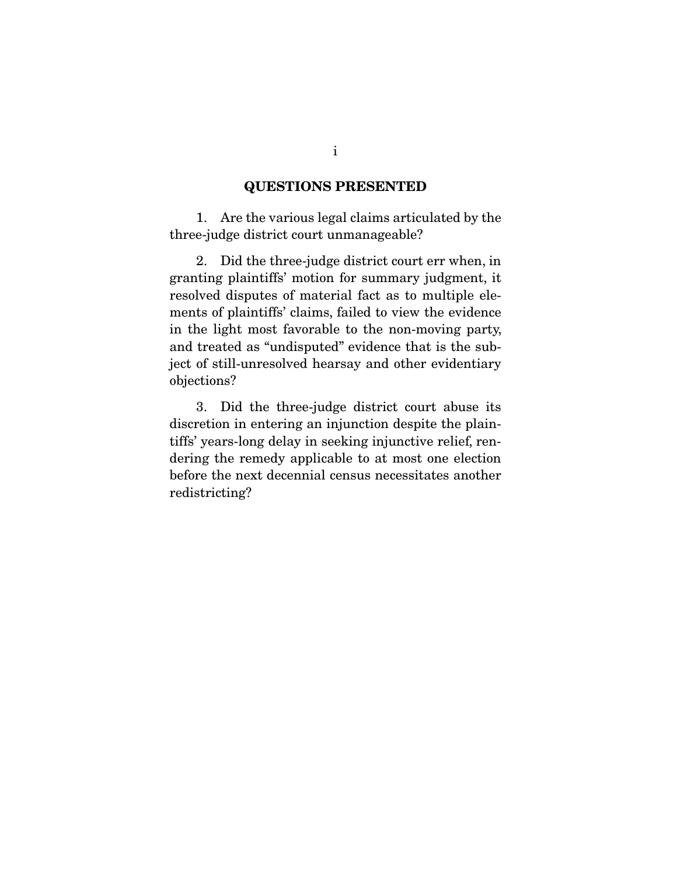### QUESTIONS PRESENTED

 1. Are the various legal claims articulated by the three-judge district court unmanageable?

 2. Did the three-judge district court err when, in granting plaintiffs' motion for summary judgment, it resolved disputes of material fact as to multiple elements of plaintiffs' claims, failed to view the evidence in the light most favorable to the non-moving party, and treated as "undisputed" evidence that is the subject of still-unresolved hearsay and other evidentiary objections?

 3. Did the three-judge district court abuse its discretion in entering an injunction despite the plaintiffs' years-long delay in seeking injunctive relief, rendering the remedy applicable to at most one election before the next decennial census necessitates another redistricting?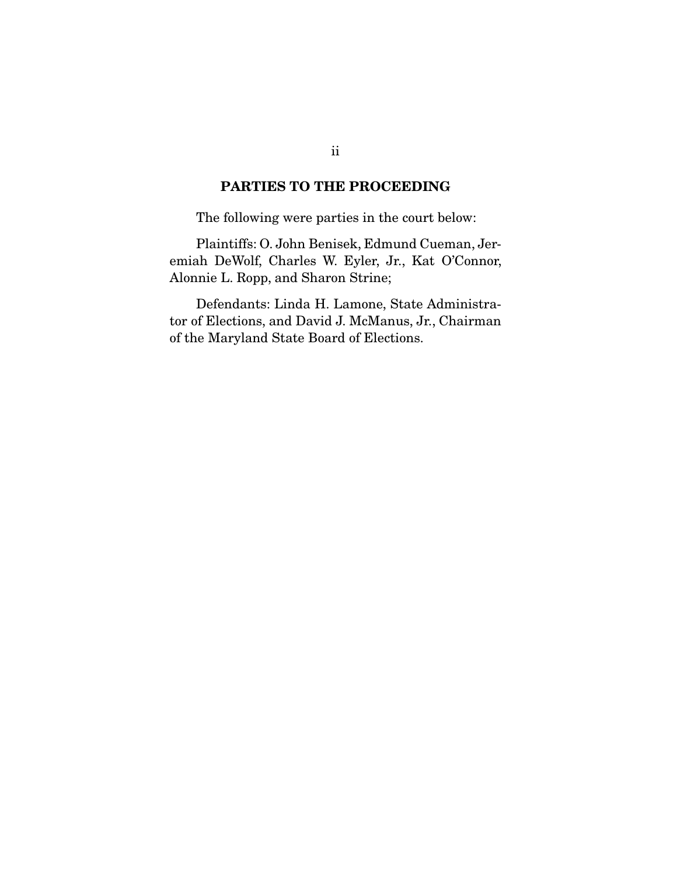## PARTIES TO THE PROCEEDING

The following were parties in the court below:

 Plaintiffs: O. John Benisek, Edmund Cueman, Jeremiah DeWolf, Charles W. Eyler, Jr., Kat O'Connor, Alonnie L. Ropp, and Sharon Strine;

 Defendants: Linda H. Lamone, State Administrator of Elections, and David J. McManus, Jr., Chairman of the Maryland State Board of Elections.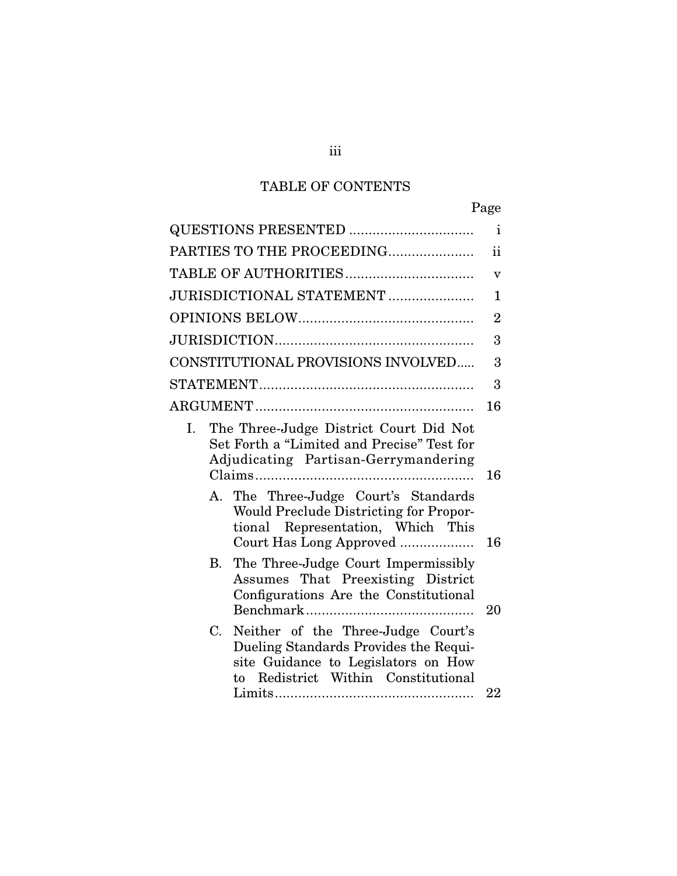# TABLE OF CONTENTS

| Page                                                                                                                                                            |                |
|-----------------------------------------------------------------------------------------------------------------------------------------------------------------|----------------|
|                                                                                                                                                                 | i              |
| PARTIES TO THE PROCEEDING                                                                                                                                       | ii             |
|                                                                                                                                                                 | $\mathbf v$    |
| JURISDICTIONAL STATEMENT                                                                                                                                        | $\mathbf{1}$   |
|                                                                                                                                                                 | $\overline{2}$ |
|                                                                                                                                                                 | 3              |
| CONSTITUTIONAL PROVISIONS INVOLVED                                                                                                                              | 3              |
|                                                                                                                                                                 | 3              |
|                                                                                                                                                                 | 16             |
| The Three-Judge District Court Did Not<br>Ι.<br>Set Forth a "Limited and Precise" Test for<br>Adjudicating Partisan-Gerrymandering                              | 16             |
| A. The Three-Judge Court's Standards<br>Would Preclude Districting for Propor-<br>tional Representation, Which This<br>Court Has Long Approved                  | 16             |
| The Three-Judge Court Impermissibly<br>B.<br>Assumes That Preexisting District<br>Configurations Are the Constitutional                                         | 20             |
| C.<br>Neither of the Three-Judge Court's<br>Dueling Standards Provides the Requi-<br>site Guidance to Legislators on How<br>to Redistrict Within Constitutional | 22             |

## iii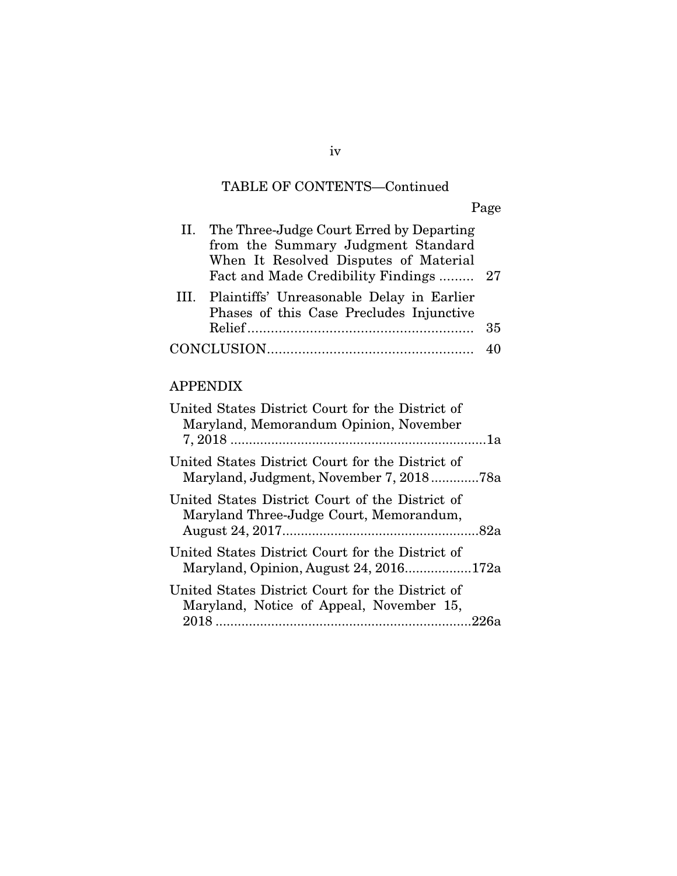# TABLE OF CONTENTS—Continued

Page

| II. The Three-Judge Court Erred by Departing<br>from the Summary Judgment Standard<br>When It Resolved Disputes of Material<br>Fact and Made Credibility Findings  27 |    |
|-----------------------------------------------------------------------------------------------------------------------------------------------------------------------|----|
| III. Plaintiffs' Unreasonable Delay in Earlier<br>Phases of this Case Precludes Injunctive                                                                            | 35 |
|                                                                                                                                                                       |    |

## APPENDIX

| United States District Court for the District of<br>Maryland, Memorandum Opinion, November           |  |
|------------------------------------------------------------------------------------------------------|--|
| United States District Court for the District of                                                     |  |
| United States District Court of the District of<br>Maryland Three-Judge Court, Memorandum,           |  |
| United States District Court for the District of<br>Maryland, Opinion, August 24, 2016172a           |  |
| United States District Court for the District of<br>Maryland, Notice of Appeal, November 15,<br>226a |  |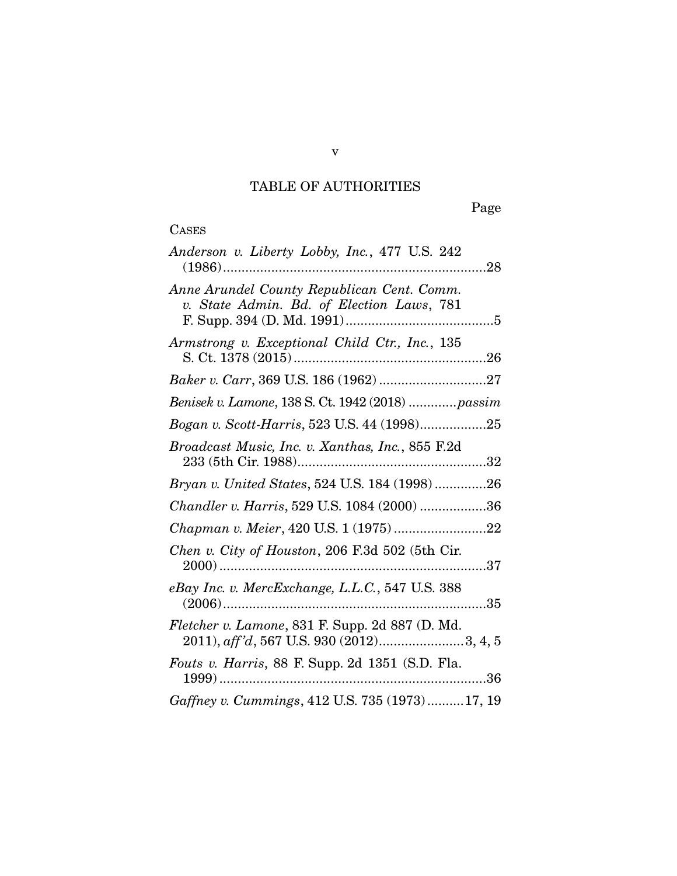# TABLE OF AUTHORITIES

Page

| ASE<br>$\mathbf{r}$ |
|---------------------|
|---------------------|

| Anderson v. Liberty Lobby, Inc., 477 U.S. 242                                           |
|-----------------------------------------------------------------------------------------|
| Anne Arundel County Republican Cent. Comm.<br>v. State Admin. Bd. of Election Laws, 781 |
| Armstrong v. Exceptional Child Ctr., Inc., 135                                          |
|                                                                                         |
| Benisek v. Lamone, 138 S. Ct. 1942 (2018)  passim                                       |
| Bogan v. Scott-Harris, 523 U.S. 44 (1998)25                                             |
| Broadcast Music, Inc. v. Xanthas, Inc., 855 F.2d                                        |
| Bryan v. United States, 524 U.S. 184 (1998) 26                                          |
| Chandler v. Harris, 529 U.S. 1084 (2000) 36                                             |
| Chapman v. Meier, 420 U.S. 1 (1975)22                                                   |
| Chen v. City of Houston, 206 F.3d 502 (5th Cir.                                         |
| eBay Inc. v. MercExchange, L.L.C., 547 U.S. 388                                         |
| Fletcher v. Lamone, 831 F. Supp. 2d 887 (D. Md.                                         |
| Fouts v. Harris, 88 F. Supp. 2d 1351 (S.D. Fla.                                         |
| Gaffney v. Cummings, 412 U.S. 735 (1973)17, 19                                          |

v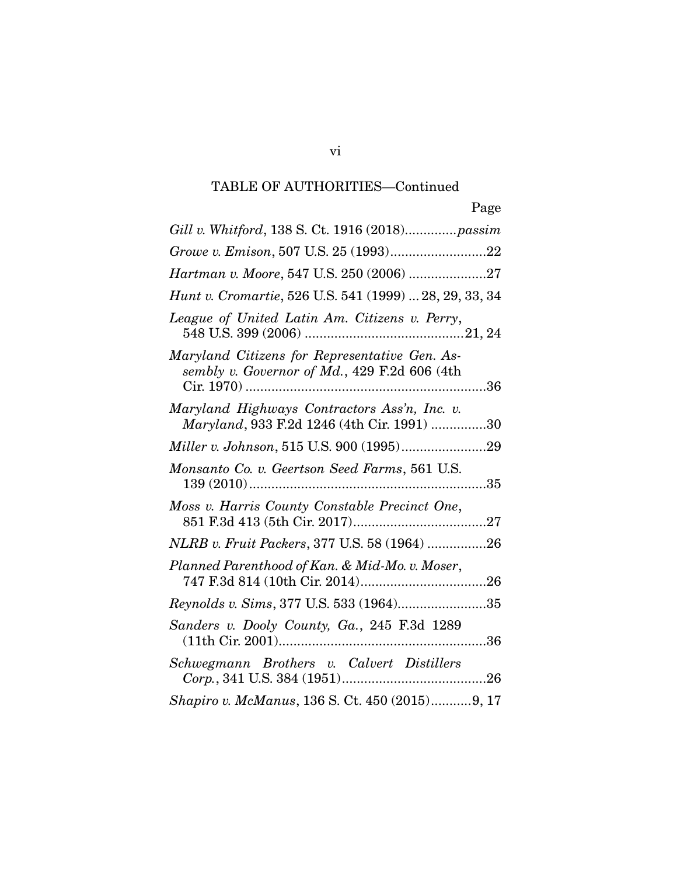# TABLE OF AUTHORITIES—Continued

| Page                                                                                          |
|-----------------------------------------------------------------------------------------------|
| Gill v. Whitford, 138 S. Ct. 1916 (2018) passim                                               |
| Growe v. Emison, 507 U.S. 25 (1993)22                                                         |
|                                                                                               |
| Hunt v. Cromartie, 526 U.S. 541 (1999)  28, 29, 33, 34                                        |
| League of United Latin Am. Citizens v. Perry,                                                 |
| Maryland Citizens for Representative Gen. As-<br>sembly v. Governor of Md., 429 F.2d 606 (4th |
| Maryland Highways Contractors Ass'n, Inc. v.<br>Maryland, 933 F.2d 1246 (4th Cir. 1991) 30    |
|                                                                                               |
| Monsanto Co. v. Geertson Seed Farms, 561 U.S.                                                 |
| Moss v. Harris County Constable Precinct One,                                                 |
| NLRB v. Fruit Packers, 377 U.S. 58 (1964) 26                                                  |
| Planned Parenthood of Kan. & Mid-Mo. v. Moser,                                                |
| Reynolds v. Sims, 377 U.S. 533 (1964)35                                                       |
| Sanders v. Dooly County, Ga., 245 F.3d 1289                                                   |
| Schwegmann Brothers v. Calvert Distillers                                                     |
| Shapiro v. McManus, 136 S. Ct. 450 (2015)9, 17                                                |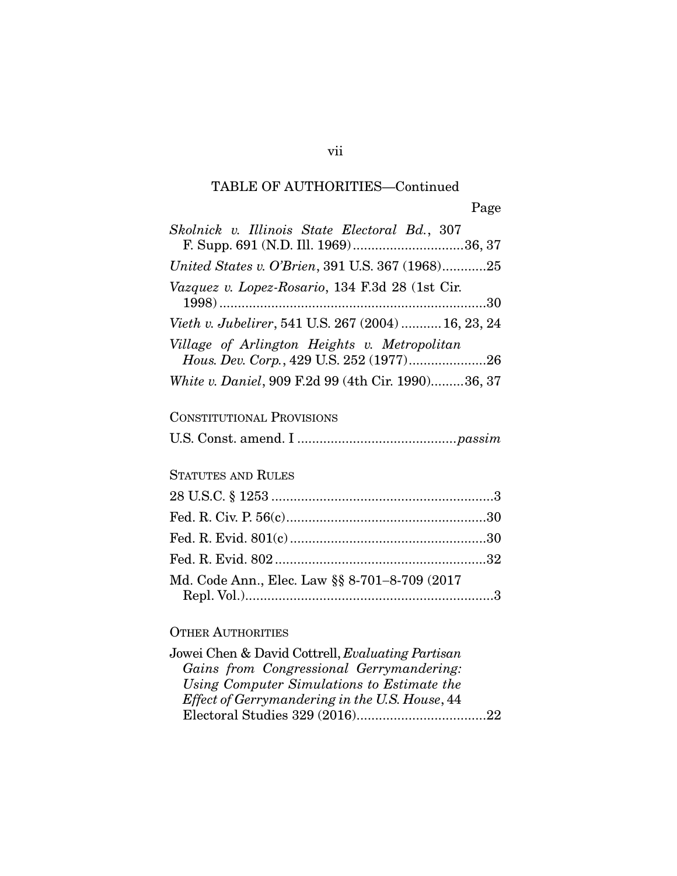# TABLE OF AUTHORITIES—Continued

vii

| Skolnick v. Illinois State Electoral Bd., 307<br>F. Supp. 691 (N.D. Ill. 1969)36, 37 |
|--------------------------------------------------------------------------------------|
| United States v. O'Brien, 391 U.S. 367 (1968)25                                      |
| Vazquez v. Lopez-Rosario, 134 F.3d 28 (1st Cir.                                      |
| Vieth v. Jubelirer, 541 U.S. 267 (2004)  16, 23, 24                                  |
| Village of Arlington Heights v. Metropolitan                                         |
| Hous. Dev. Corp., 429 U.S. 252 (1977)26                                              |
| White v. Daniel, 909 F.2d 99 (4th Cir. 1990)36, 37                                   |

## CONSTITUTIONAL PROVISIONS

## STATUTES AND RULES

| Md. Code Ann., Elec. Law §§ 8-701-8-709 (2017 |  |
|-----------------------------------------------|--|
|                                               |  |

## OTHER AUTHORITIES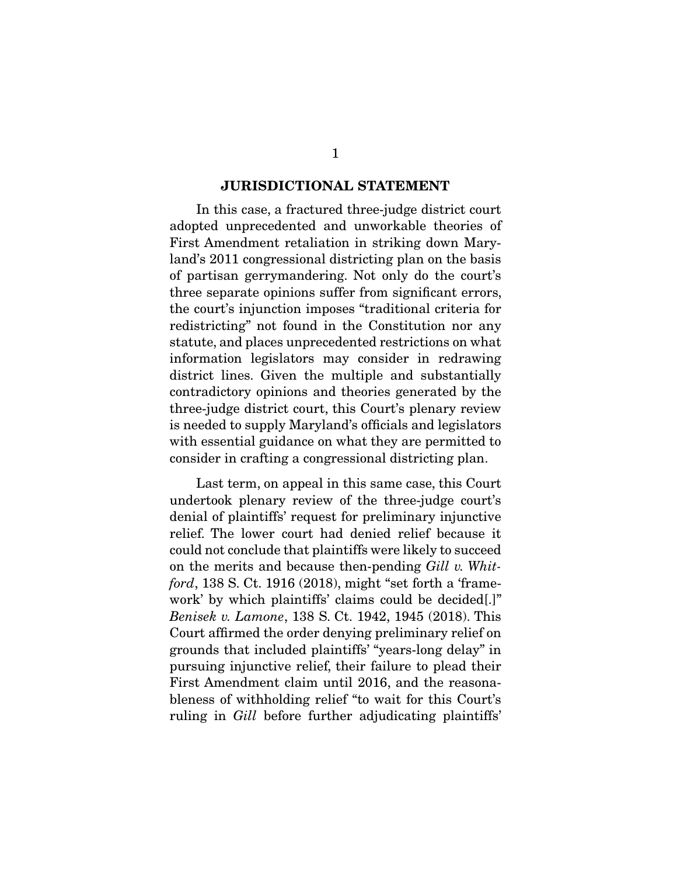#### JURISDICTIONAL STATEMENT

 In this case, a fractured three-judge district court adopted unprecedented and unworkable theories of First Amendment retaliation in striking down Maryland's 2011 congressional districting plan on the basis of partisan gerrymandering. Not only do the court's three separate opinions suffer from significant errors, the court's injunction imposes "traditional criteria for redistricting" not found in the Constitution nor any statute, and places unprecedented restrictions on what information legislators may consider in redrawing district lines. Given the multiple and substantially contradictory opinions and theories generated by the three-judge district court, this Court's plenary review is needed to supply Maryland's officials and legislators with essential guidance on what they are permitted to consider in crafting a congressional districting plan.

 Last term, on appeal in this same case, this Court undertook plenary review of the three-judge court's denial of plaintiffs' request for preliminary injunctive relief. The lower court had denied relief because it could not conclude that plaintiffs were likely to succeed on the merits and because then-pending *Gill v. Whitford*, 138 S. Ct. 1916 (2018), might "set forth a 'framework' by which plaintiffs' claims could be decided[.]" *Benisek v. Lamone*, 138 S. Ct. 1942, 1945 (2018). This Court affirmed the order denying preliminary relief on grounds that included plaintiffs' "years-long delay" in pursuing injunctive relief, their failure to plead their First Amendment claim until 2016, and the reasonableness of withholding relief "to wait for this Court's ruling in *Gill* before further adjudicating plaintiffs'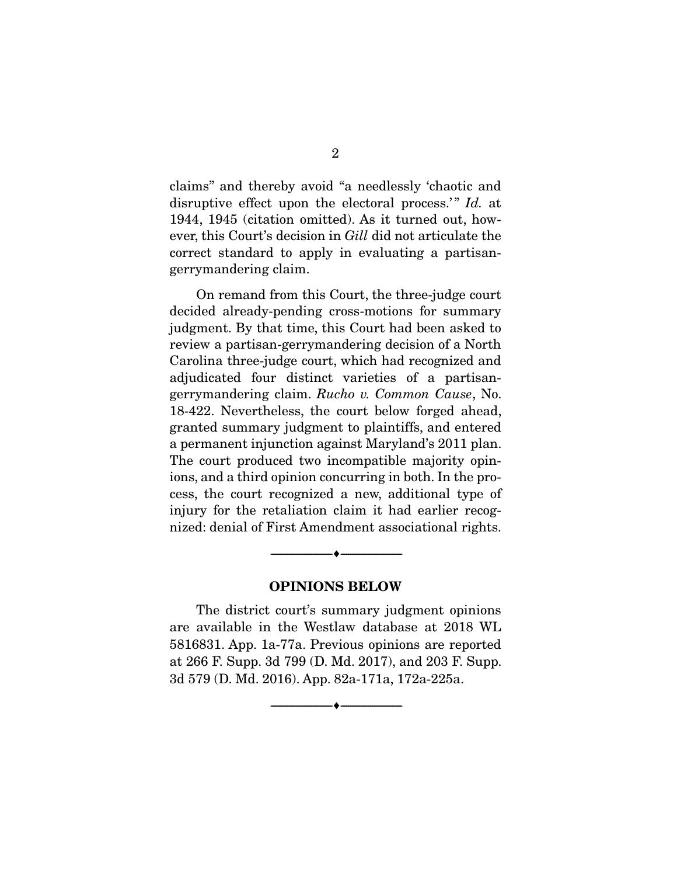claims" and thereby avoid "a needlessly 'chaotic and disruptive effect upon the electoral process.'" *Id.* at 1944, 1945 (citation omitted). As it turned out, however, this Court's decision in *Gill* did not articulate the correct standard to apply in evaluating a partisangerrymandering claim.

 On remand from this Court, the three-judge court decided already-pending cross-motions for summary judgment. By that time, this Court had been asked to review a partisan-gerrymandering decision of a North Carolina three-judge court, which had recognized and adjudicated four distinct varieties of a partisangerrymandering claim. *Rucho v. Common Cause*, No. 18-422. Nevertheless, the court below forged ahead, granted summary judgment to plaintiffs, and entered a permanent injunction against Maryland's 2011 plan. The court produced two incompatible majority opinions, and a third opinion concurring in both. In the process, the court recognized a new, additional type of injury for the retaliation claim it had earlier recognized: denial of First Amendment associational rights.

#### OPINIONS BELOW

--------------------------------- ---------------------------------

 The district court's summary judgment opinions are available in the Westlaw database at 2018 WL 5816831. App. 1a-77a. Previous opinions are reported at 266 F. Supp. 3d 799 (D. Md. 2017), and 203 F. Supp. 3d 579 (D. Md. 2016). App. 82a-171a, 172a-225a.

--------------------------------- ---------------------------------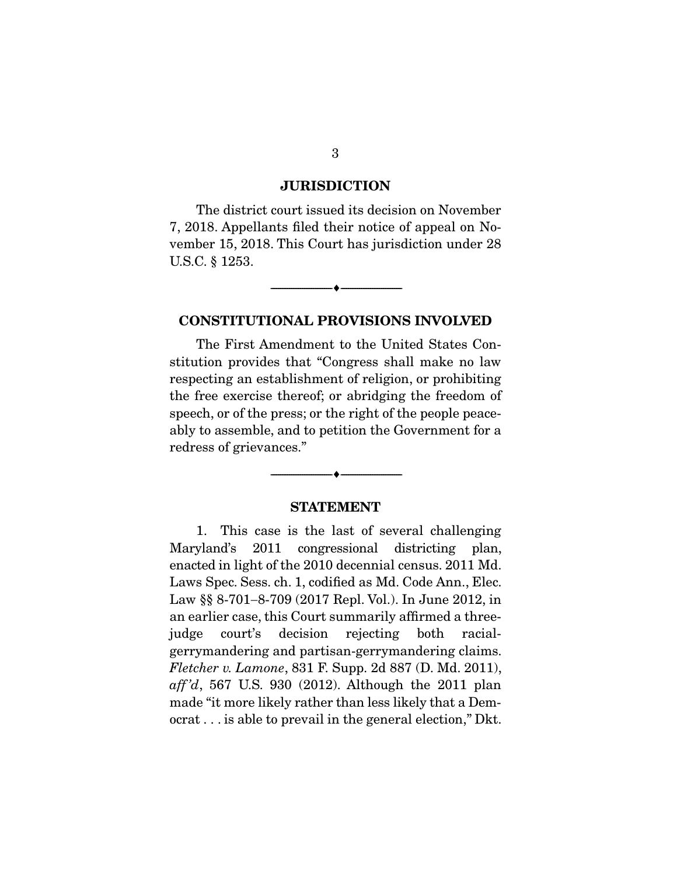#### JURISDICTION

 The district court issued its decision on November 7, 2018. Appellants filed their notice of appeal on November 15, 2018. This Court has jurisdiction under 28 U.S.C. § 1253.

--------------------------------- ---------------------------------

#### CONSTITUTIONAL PROVISIONS INVOLVED

 The First Amendment to the United States Constitution provides that "Congress shall make no law respecting an establishment of religion, or prohibiting the free exercise thereof; or abridging the freedom of speech, or of the press; or the right of the people peaceably to assemble, and to petition the Government for a redress of grievances."

### STATEMENT

--------------------------------- ---------------------------------

 1. This case is the last of several challenging Maryland's 2011 congressional districting plan, enacted in light of the 2010 decennial census. 2011 Md. Laws Spec. Sess. ch. 1, codified as Md. Code Ann., Elec. Law  $\S$  8-701-8-709 (2017 Repl. Vol.). In June 2012, in an earlier case, this Court summarily affirmed a threejudge court's decision rejecting both racialgerrymandering and partisan-gerrymandering claims. *Fletcher v. Lamone*, 831 F. Supp. 2d 887 (D. Md. 2011), *aff 'd*, 567 U.S. 930 (2012). Although the 2011 plan made "it more likely rather than less likely that a Democrat . . . is able to prevail in the general election," Dkt.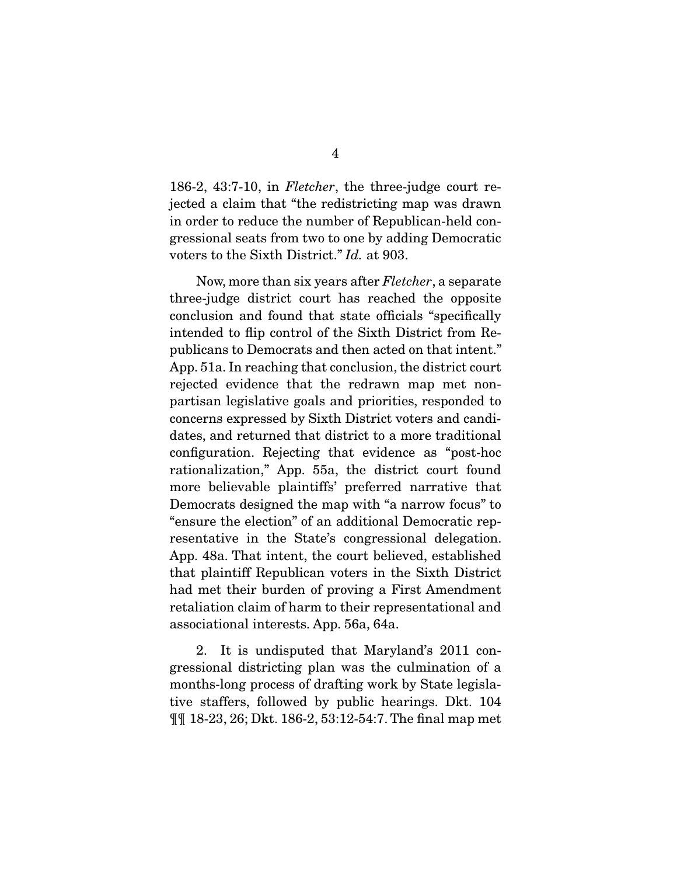186-2, 43:7-10, in *Fletcher*, the three-judge court rejected a claim that "the redistricting map was drawn in order to reduce the number of Republican-held congressional seats from two to one by adding Democratic voters to the Sixth District." *Id.* at 903.

 Now, more than six years after *Fletcher*, a separate three-judge district court has reached the opposite conclusion and found that state officials "specifically intended to flip control of the Sixth District from Republicans to Democrats and then acted on that intent." App. 51a. In reaching that conclusion, the district court rejected evidence that the redrawn map met nonpartisan legislative goals and priorities, responded to concerns expressed by Sixth District voters and candidates, and returned that district to a more traditional configuration. Rejecting that evidence as "post-hoc rationalization," App. 55a, the district court found more believable plaintiffs' preferred narrative that Democrats designed the map with "a narrow focus" to "ensure the election" of an additional Democratic representative in the State's congressional delegation. App. 48a. That intent, the court believed, established that plaintiff Republican voters in the Sixth District had met their burden of proving a First Amendment retaliation claim of harm to their representational and associational interests. App. 56a, 64a.

 2. It is undisputed that Maryland's 2011 congressional districting plan was the culmination of a months-long process of drafting work by State legislative staffers, followed by public hearings. Dkt. 104 ¶¶ 18-23, 26; Dkt. 186-2, 53:12-54:7. The final map met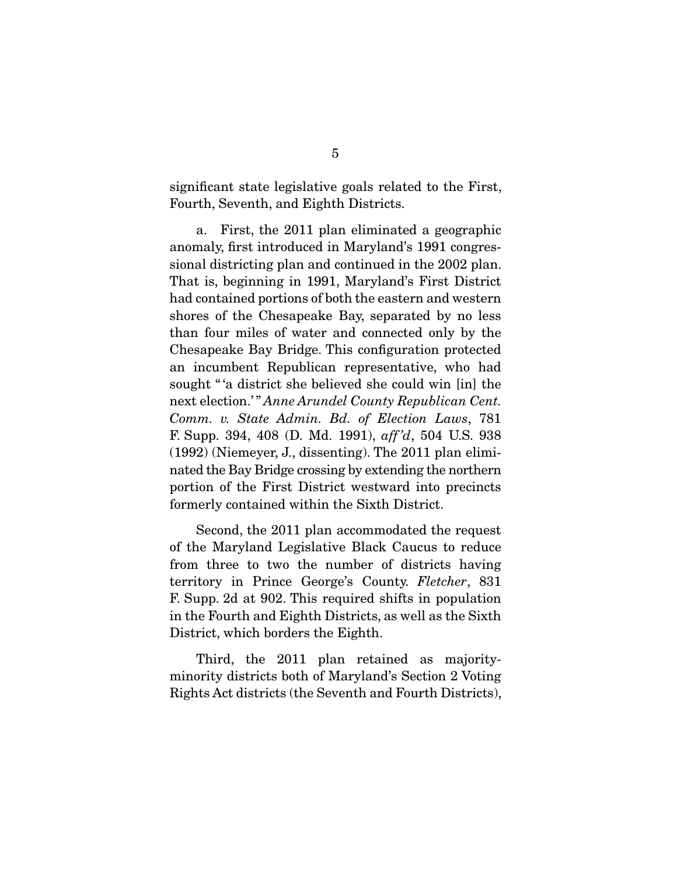significant state legislative goals related to the First, Fourth, Seventh, and Eighth Districts.

 a. First, the 2011 plan eliminated a geographic anomaly, first introduced in Maryland's 1991 congressional districting plan and continued in the 2002 plan. That is, beginning in 1991, Maryland's First District had contained portions of both the eastern and western shores of the Chesapeake Bay, separated by no less than four miles of water and connected only by the Chesapeake Bay Bridge. This configuration protected an incumbent Republican representative, who had sought "'a district she believed she could win [in] the next election.' " *Anne Arundel County Republican Cent. Comm. v. State Admin. Bd. of Election Laws*, 781 F. Supp. 394, 408 (D. Md. 1991), *aff 'd*, 504 U.S. 938 (1992) (Niemeyer, J., dissenting). The 2011 plan eliminated the Bay Bridge crossing by extending the northern portion of the First District westward into precincts formerly contained within the Sixth District.

 Second, the 2011 plan accommodated the request of the Maryland Legislative Black Caucus to reduce from three to two the number of districts having territory in Prince George's County. *Fletcher*, 831 F. Supp. 2d at 902. This required shifts in population in the Fourth and Eighth Districts, as well as the Sixth District, which borders the Eighth.

 Third, the 2011 plan retained as majorityminority districts both of Maryland's Section 2 Voting Rights Act districts (the Seventh and Fourth Districts),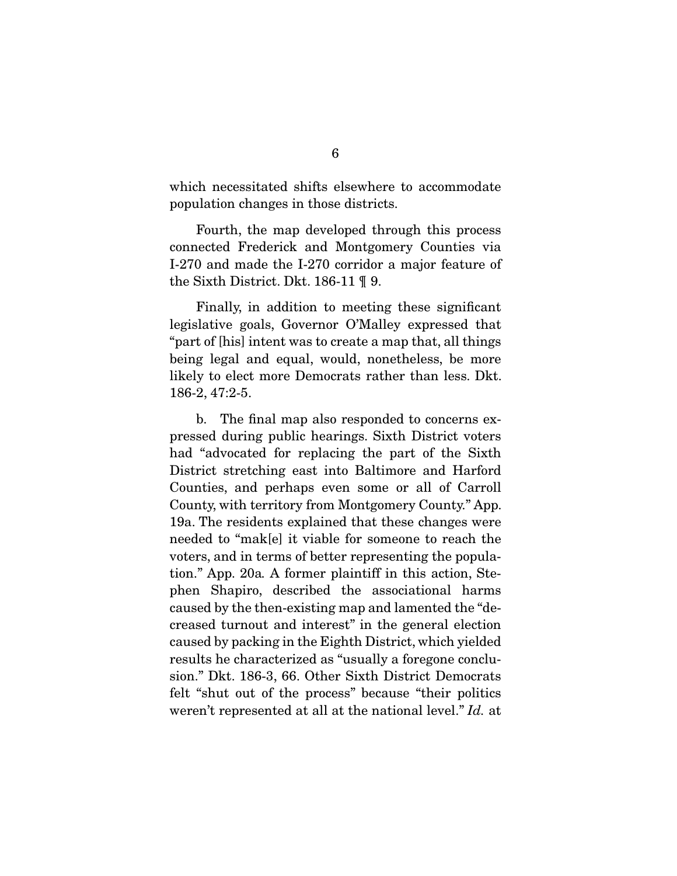which necessitated shifts elsewhere to accommodate population changes in those districts.

 Fourth, the map developed through this process connected Frederick and Montgomery Counties via I-270 and made the I-270 corridor a major feature of the Sixth District. Dkt. 186-11 ¶ 9.

 Finally, in addition to meeting these significant legislative goals, Governor O'Malley expressed that "part of [his] intent was to create a map that, all things being legal and equal, would, nonetheless, be more likely to elect more Democrats rather than less. Dkt. 186-2, 47:2-5.

 b. The final map also responded to concerns expressed during public hearings. Sixth District voters had "advocated for replacing the part of the Sixth District stretching east into Baltimore and Harford Counties, and perhaps even some or all of Carroll County, with territory from Montgomery County." App. 19a. The residents explained that these changes were needed to "mak[e] it viable for someone to reach the voters, and in terms of better representing the population." App. 20a*.* A former plaintiff in this action, Stephen Shapiro, described the associational harms caused by the then-existing map and lamented the "decreased turnout and interest" in the general election caused by packing in the Eighth District, which yielded results he characterized as "usually a foregone conclusion." Dkt. 186-3, 66. Other Sixth District Democrats felt "shut out of the process" because "their politics weren't represented at all at the national level." *Id.* at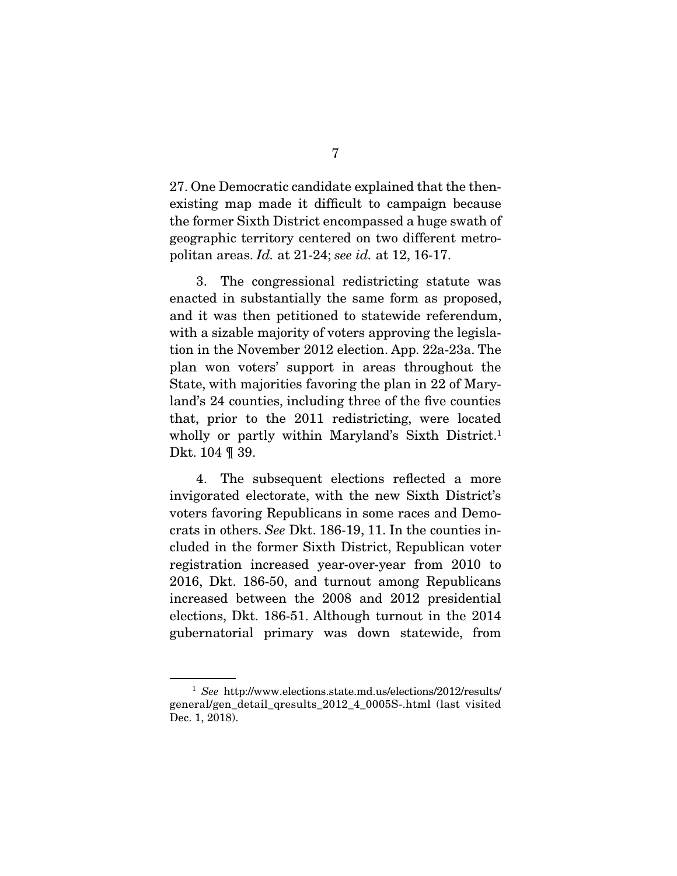27. One Democratic candidate explained that the thenexisting map made it difficult to campaign because the former Sixth District encompassed a huge swath of geographic territory centered on two different metropolitan areas. *Id.* at 21-24; *see id.* at 12, 16-17.

 3. The congressional redistricting statute was enacted in substantially the same form as proposed, and it was then petitioned to statewide referendum, with a sizable majority of voters approving the legislation in the November 2012 election. App. 22a-23a. The plan won voters' support in areas throughout the State, with majorities favoring the plan in 22 of Maryland's 24 counties, including three of the five counties that, prior to the 2011 redistricting, were located wholly or partly within Maryland's Sixth District.<sup>1</sup> Dkt. 104 ¶ 39.

 4. The subsequent elections reflected a more invigorated electorate, with the new Sixth District's voters favoring Republicans in some races and Democrats in others. *See* Dkt. 186-19, 11. In the counties included in the former Sixth District, Republican voter registration increased year-over-year from 2010 to 2016, Dkt. 186-50, and turnout among Republicans increased between the 2008 and 2012 presidential elections, Dkt. 186-51. Although turnout in the 2014 gubernatorial primary was down statewide, from

<sup>1</sup> *See* http://www.elections.state.md.us/elections/2012/results/ general/gen\_detail\_qresults\_2012\_4\_0005S-.html (last visited Dec. 1, 2018).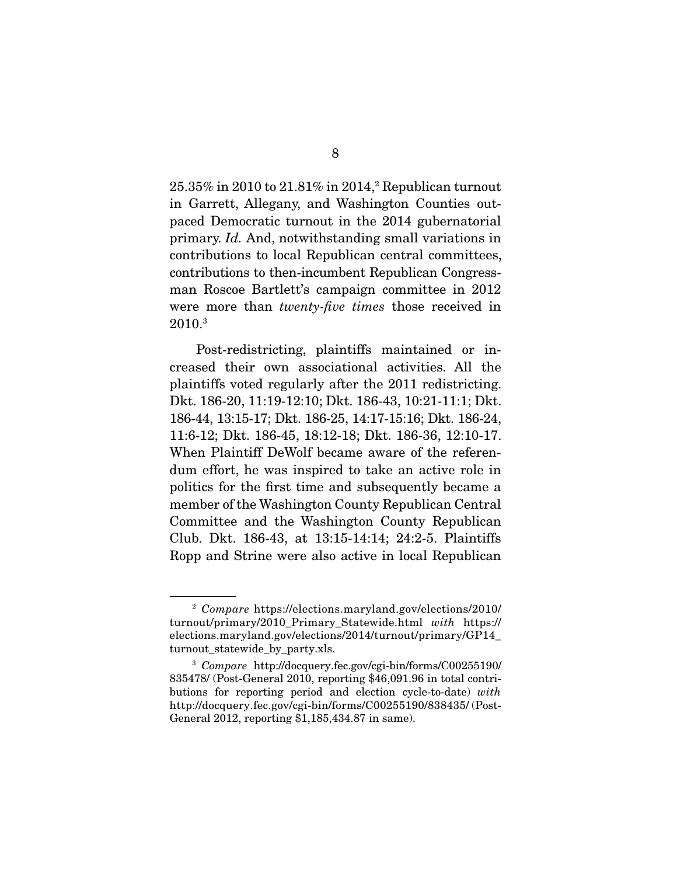$25.35\%$  in  $2010$  to  $21.81\%$  in  $2014$ , Republican turnout in Garrett, Allegany, and Washington Counties outpaced Democratic turnout in the 2014 gubernatorial primary. *Id.* And, notwithstanding small variations in contributions to local Republican central committees, contributions to then-incumbent Republican Congressman Roscoe Bartlett's campaign committee in 2012 were more than *twenty-five times* those received in 2010.3

 Post-redistricting, plaintiffs maintained or increased their own associational activities. All the plaintiffs voted regularly after the 2011 redistricting. Dkt. 186-20, 11:19-12:10; Dkt. 186-43, 10:21-11:1; Dkt. 186-44, 13:15-17; Dkt. 186-25, 14:17-15:16; Dkt. 186-24, 11:6-12; Dkt. 186-45, 18:12-18; Dkt. 186-36, 12:10-17. When Plaintiff DeWolf became aware of the referendum effort, he was inspired to take an active role in politics for the first time and subsequently became a member of the Washington County Republican Central Committee and the Washington County Republican Club. Dkt. 186-43, at 13:15-14:14; 24:2-5. Plaintiffs Ropp and Strine were also active in local Republican

<sup>2</sup> *Compare* https://elections.maryland.gov/elections/2010/ turnout/primary/2010\_Primary\_Statewide.html *with* https:// elections.maryland.gov/elections/2014/turnout/primary/GP14\_ turnout\_statewide\_by\_party.xls.

<sup>3</sup> *Compare* http://docquery.fec.gov/cgi-bin/forms/C00255190/ 835478/ (Post-General 2010, reporting \$46,091.96 in total contributions for reporting period and election cycle-to-date) *with*  http://docquery.fec.gov/cgi-bin/forms/C00255190/838435/ (Post-General 2012, reporting \$1,185,434.87 in same).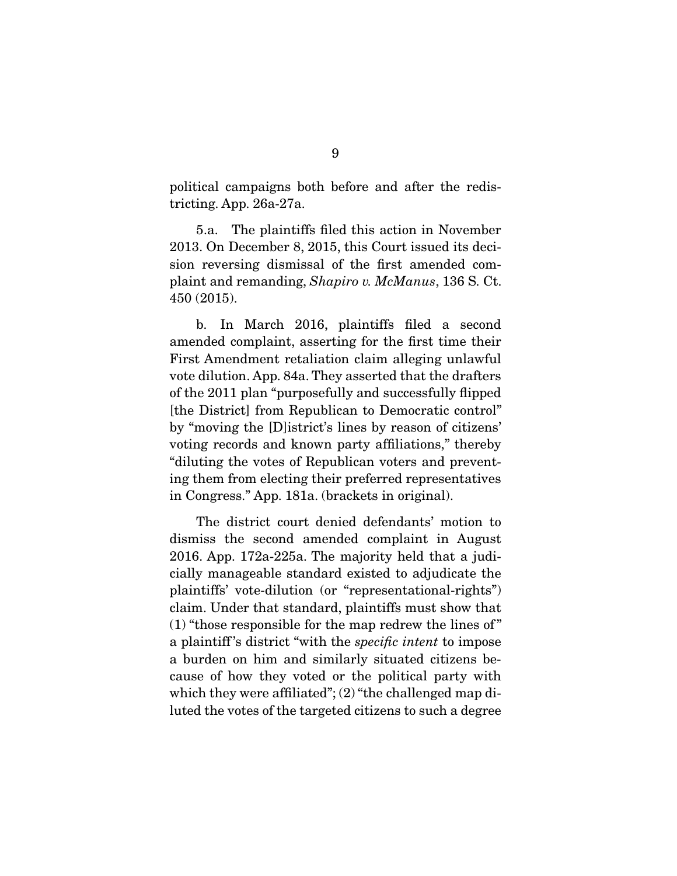political campaigns both before and after the redistricting. App. 26a-27a.

 5.a. The plaintiffs filed this action in November 2013. On December 8, 2015, this Court issued its decision reversing dismissal of the first amended complaint and remanding, *Shapiro v. McManus*, 136 S. Ct. 450 (2015).

 b. In March 2016, plaintiffs filed a second amended complaint, asserting for the first time their First Amendment retaliation claim alleging unlawful vote dilution. App. 84a. They asserted that the drafters of the 2011 plan "purposefully and successfully flipped [the District] from Republican to Democratic control" by "moving the [D]istrict's lines by reason of citizens' voting records and known party affiliations," thereby "diluting the votes of Republican voters and preventing them from electing their preferred representatives in Congress." App. 181a. (brackets in original).

 The district court denied defendants' motion to dismiss the second amended complaint in August 2016. App. 172a-225a. The majority held that a judicially manageable standard existed to adjudicate the plaintiffs' vote-dilution (or "representational-rights") claim. Under that standard, plaintiffs must show that (1) "those responsible for the map redrew the lines of " a plaintiff 's district "with the *specific intent* to impose a burden on him and similarly situated citizens because of how they voted or the political party with which they were affiliated";  $(2)$  "the challenged map diluted the votes of the targeted citizens to such a degree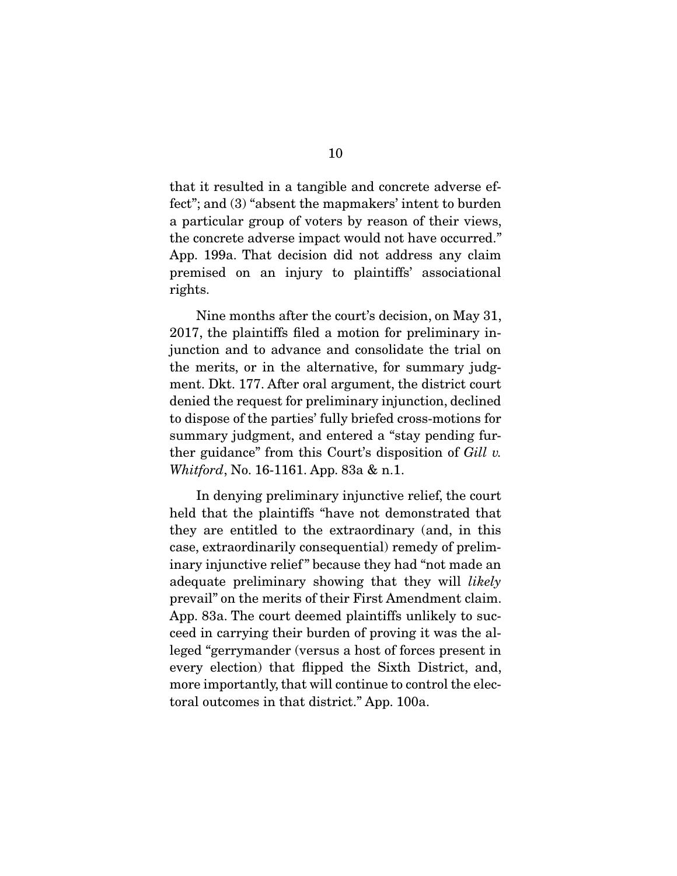that it resulted in a tangible and concrete adverse effect"; and (3) "absent the mapmakers' intent to burden a particular group of voters by reason of their views, the concrete adverse impact would not have occurred." App. 199a. That decision did not address any claim premised on an injury to plaintiffs' associational rights.

 Nine months after the court's decision, on May 31, 2017, the plaintiffs filed a motion for preliminary injunction and to advance and consolidate the trial on the merits, or in the alternative, for summary judgment. Dkt. 177. After oral argument, the district court denied the request for preliminary injunction, declined to dispose of the parties' fully briefed cross-motions for summary judgment, and entered a "stay pending further guidance" from this Court's disposition of *Gill v. Whitford*, No. 16-1161. App. 83a & n.1.

 In denying preliminary injunctive relief, the court held that the plaintiffs "have not demonstrated that they are entitled to the extraordinary (and, in this case, extraordinarily consequential) remedy of preliminary injunctive relief" because they had "not made an adequate preliminary showing that they will *likely*  prevail" on the merits of their First Amendment claim. App. 83a. The court deemed plaintiffs unlikely to succeed in carrying their burden of proving it was the alleged "gerrymander (versus a host of forces present in every election) that flipped the Sixth District, and, more importantly, that will continue to control the electoral outcomes in that district." App. 100a.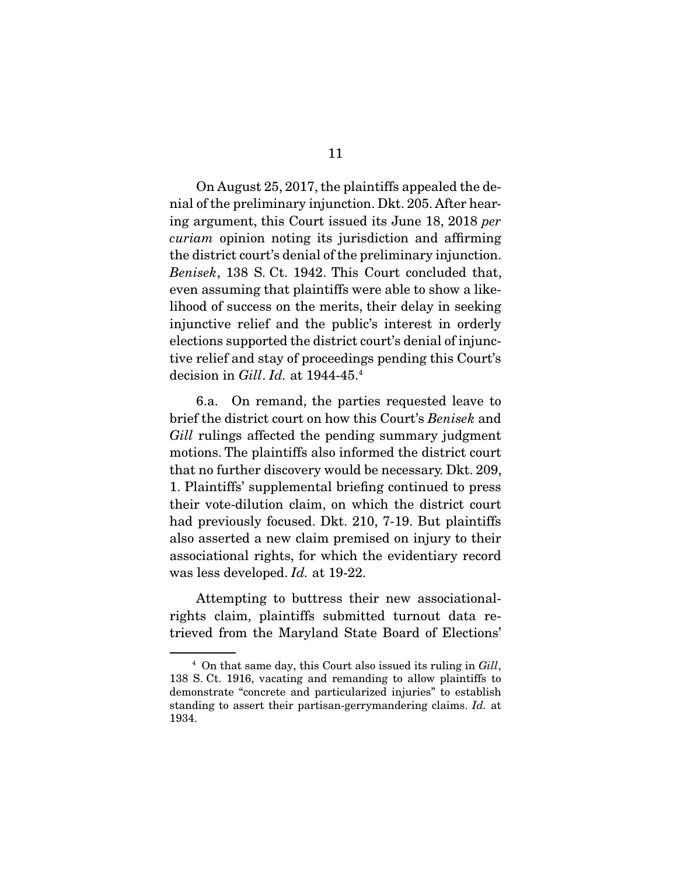On August 25, 2017, the plaintiffs appealed the denial of the preliminary injunction. Dkt. 205. After hearing argument, this Court issued its June 18, 2018 *per curiam* opinion noting its jurisdiction and affirming the district court's denial of the preliminary injunction. *Benisek*, 138 S. Ct. 1942. This Court concluded that, even assuming that plaintiffs were able to show a likelihood of success on the merits, their delay in seeking injunctive relief and the public's interest in orderly elections supported the district court's denial of injunctive relief and stay of proceedings pending this Court's decision in *Gill*. *Id.* at 1944-45.4

 6.a. On remand, the parties requested leave to brief the district court on how this Court's *Benisek* and *Gill* rulings affected the pending summary judgment motions. The plaintiffs also informed the district court that no further discovery would be necessary. Dkt. 209, 1. Plaintiffs' supplemental briefing continued to press their vote-dilution claim, on which the district court had previously focused. Dkt. 210, 7-19. But plaintiffs also asserted a new claim premised on injury to their associational rights, for which the evidentiary record was less developed. *Id.* at 19-22.

 Attempting to buttress their new associationalrights claim, plaintiffs submitted turnout data retrieved from the Maryland State Board of Elections'

<sup>4</sup> On that same day, this Court also issued its ruling in *Gill*, 138 S. Ct. 1916, vacating and remanding to allow plaintiffs to demonstrate "concrete and particularized injuries" to establish standing to assert their partisan-gerrymandering claims. *Id.* at 1934.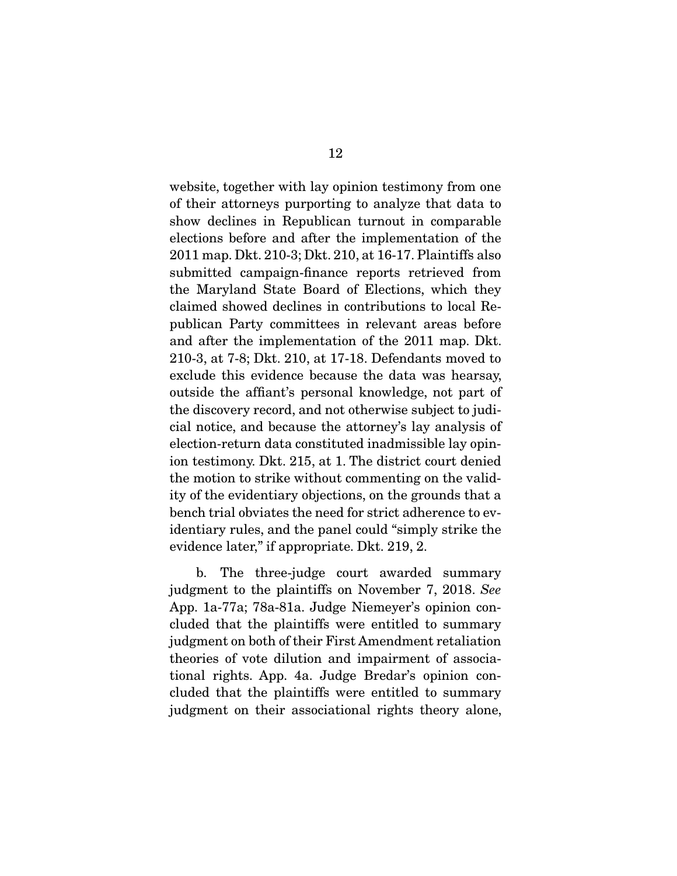website, together with lay opinion testimony from one of their attorneys purporting to analyze that data to show declines in Republican turnout in comparable elections before and after the implementation of the 2011 map. Dkt. 210-3; Dkt. 210, at 16-17. Plaintiffs also submitted campaign-finance reports retrieved from the Maryland State Board of Elections, which they claimed showed declines in contributions to local Republican Party committees in relevant areas before and after the implementation of the 2011 map. Dkt. 210-3, at 7-8; Dkt. 210, at 17-18. Defendants moved to exclude this evidence because the data was hearsay, outside the affiant's personal knowledge, not part of the discovery record, and not otherwise subject to judicial notice, and because the attorney's lay analysis of election-return data constituted inadmissible lay opinion testimony. Dkt. 215, at 1. The district court denied the motion to strike without commenting on the validity of the evidentiary objections, on the grounds that a bench trial obviates the need for strict adherence to evidentiary rules, and the panel could "simply strike the evidence later," if appropriate. Dkt. 219, 2.

 b. The three-judge court awarded summary judgment to the plaintiffs on November 7, 2018. *See*  App. 1a-77a; 78a-81a. Judge Niemeyer's opinion concluded that the plaintiffs were entitled to summary judgment on both of their First Amendment retaliation theories of vote dilution and impairment of associational rights. App. 4a. Judge Bredar's opinion concluded that the plaintiffs were entitled to summary judgment on their associational rights theory alone,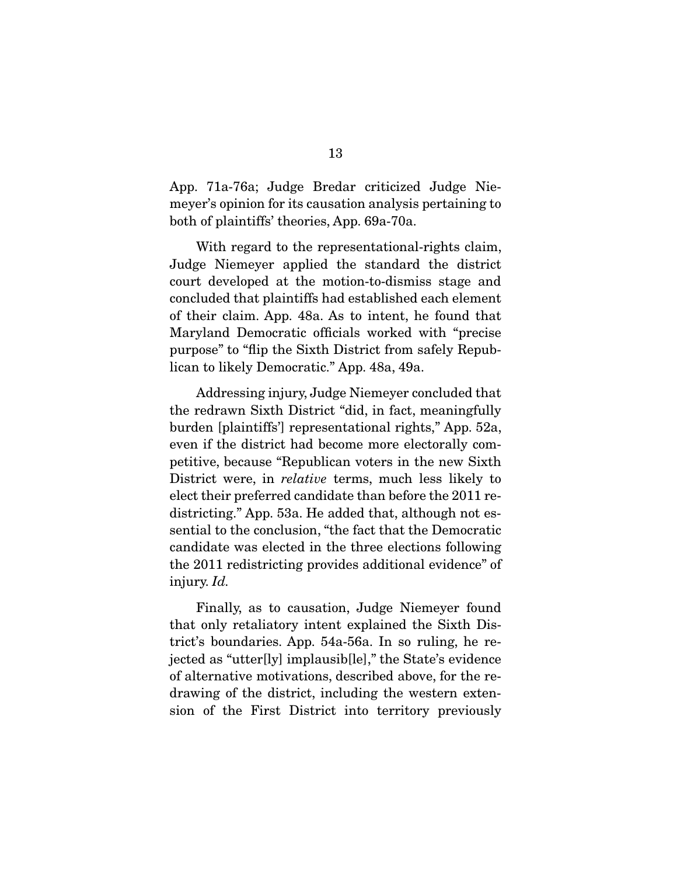App. 71a-76a; Judge Bredar criticized Judge Niemeyer's opinion for its causation analysis pertaining to both of plaintiffs' theories, App. 69a-70a.

 With regard to the representational-rights claim, Judge Niemeyer applied the standard the district court developed at the motion-to-dismiss stage and concluded that plaintiffs had established each element of their claim. App. 48a. As to intent, he found that Maryland Democratic officials worked with "precise purpose" to "flip the Sixth District from safely Republican to likely Democratic." App. 48a, 49a.

 Addressing injury, Judge Niemeyer concluded that the redrawn Sixth District "did, in fact, meaningfully burden [plaintiffs'] representational rights," App. 52a, even if the district had become more electorally competitive, because "Republican voters in the new Sixth District were, in *relative* terms, much less likely to elect their preferred candidate than before the 2011 redistricting." App. 53a. He added that, although not essential to the conclusion, "the fact that the Democratic candidate was elected in the three elections following the 2011 redistricting provides additional evidence" of injury. *Id.*

 Finally, as to causation, Judge Niemeyer found that only retaliatory intent explained the Sixth District's boundaries. App. 54a-56a. In so ruling, he rejected as "utter[ly] implausib[le]," the State's evidence of alternative motivations, described above, for the redrawing of the district, including the western extension of the First District into territory previously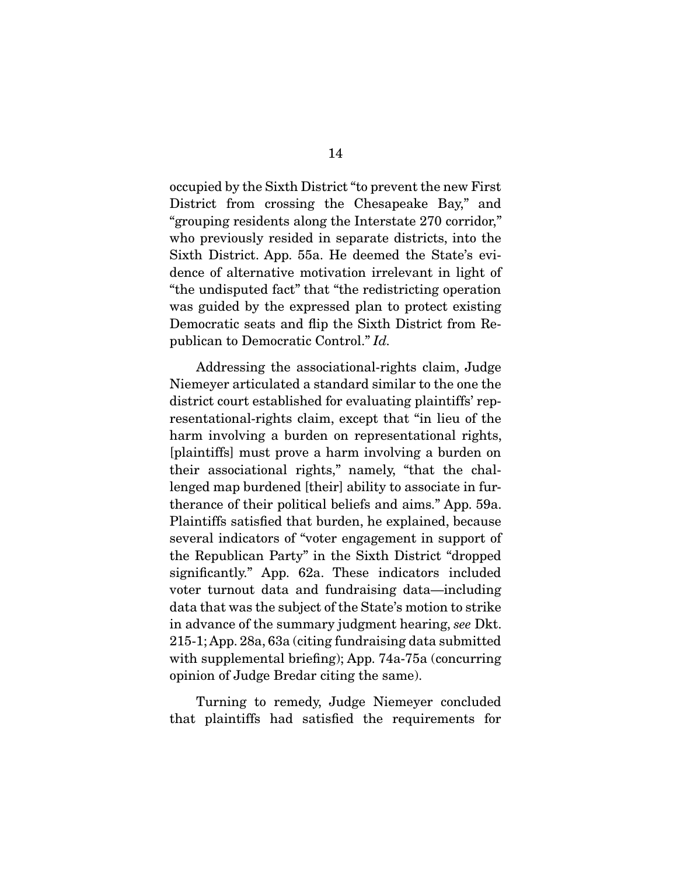occupied by the Sixth District "to prevent the new First District from crossing the Chesapeake Bay," and "grouping residents along the Interstate 270 corridor," who previously resided in separate districts, into the Sixth District. App. 55a. He deemed the State's evidence of alternative motivation irrelevant in light of "the undisputed fact" that "the redistricting operation was guided by the expressed plan to protect existing Democratic seats and flip the Sixth District from Republican to Democratic Control." *Id.*

 Addressing the associational-rights claim, Judge Niemeyer articulated a standard similar to the one the district court established for evaluating plaintiffs' representational-rights claim, except that "in lieu of the harm involving a burden on representational rights, [plaintiffs] must prove a harm involving a burden on their associational rights," namely, "that the challenged map burdened [their] ability to associate in furtherance of their political beliefs and aims." App. 59a. Plaintiffs satisfied that burden, he explained, because several indicators of "voter engagement in support of the Republican Party" in the Sixth District "dropped significantly." App. 62a. These indicators included voter turnout data and fundraising data—including data that was the subject of the State's motion to strike in advance of the summary judgment hearing, *see* Dkt. 215-1; App. 28a, 63a (citing fundraising data submitted with supplemental briefing); App. 74a-75a (concurring opinion of Judge Bredar citing the same).

 Turning to remedy, Judge Niemeyer concluded that plaintiffs had satisfied the requirements for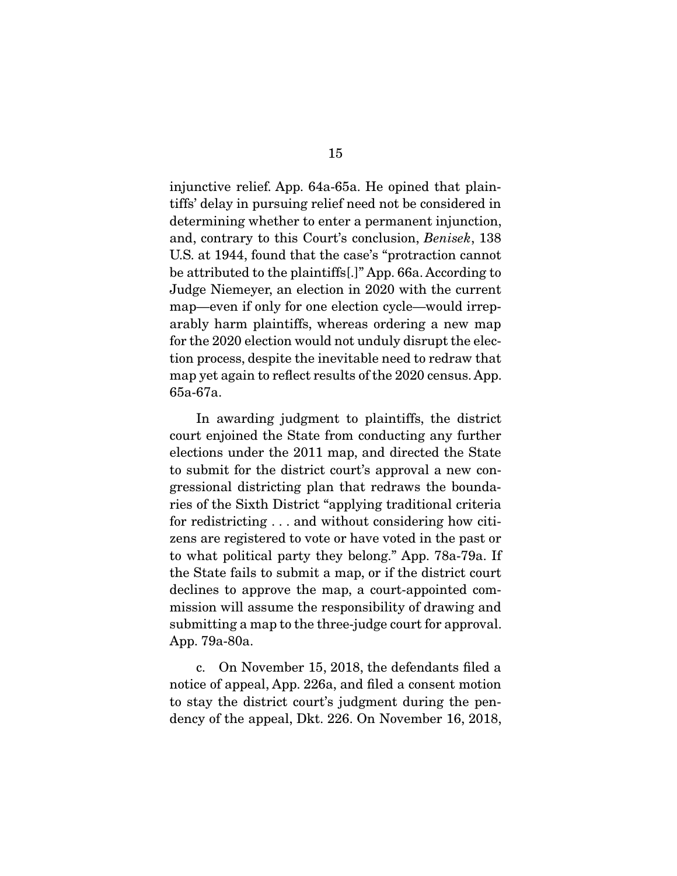injunctive relief. App. 64a-65a. He opined that plaintiffs' delay in pursuing relief need not be considered in determining whether to enter a permanent injunction, and, contrary to this Court's conclusion, *Benisek*, 138 U.S. at 1944, found that the case's "protraction cannot be attributed to the plaintiffs[.]" App. 66a. According to Judge Niemeyer, an election in 2020 with the current map—even if only for one election cycle—would irreparably harm plaintiffs, whereas ordering a new map for the 2020 election would not unduly disrupt the election process, despite the inevitable need to redraw that map yet again to reflect results of the 2020 census. App. 65a-67a.

 In awarding judgment to plaintiffs, the district court enjoined the State from conducting any further elections under the 2011 map, and directed the State to submit for the district court's approval a new congressional districting plan that redraws the boundaries of the Sixth District "applying traditional criteria for redistricting . . . and without considering how citizens are registered to vote or have voted in the past or to what political party they belong." App. 78a-79a. If the State fails to submit a map, or if the district court declines to approve the map, a court-appointed commission will assume the responsibility of drawing and submitting a map to the three-judge court for approval. App. 79a-80a.

 c. On November 15, 2018, the defendants filed a notice of appeal, App. 226a, and filed a consent motion to stay the district court's judgment during the pendency of the appeal, Dkt. 226. On November 16, 2018,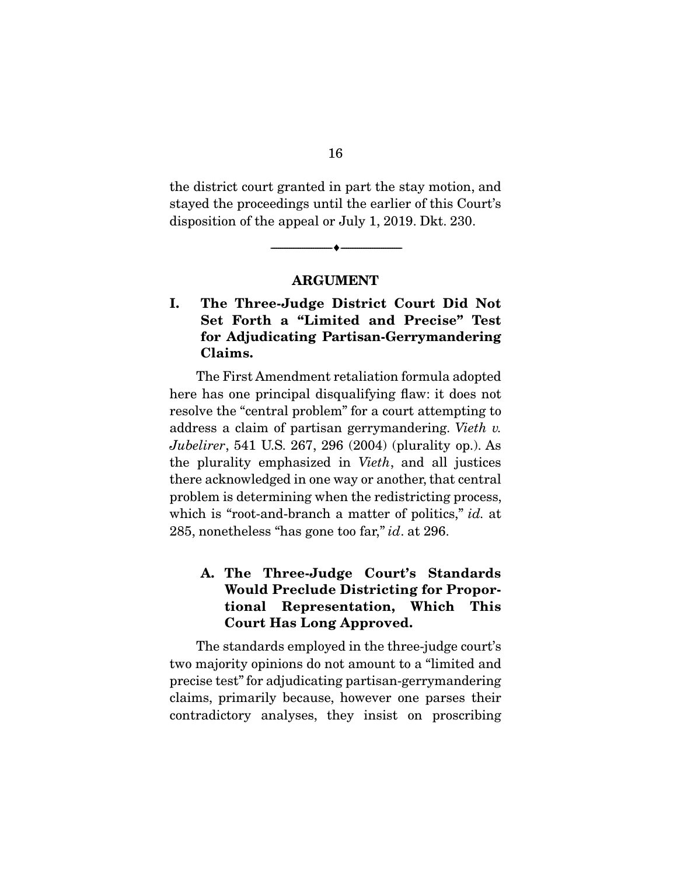the district court granted in part the stay motion, and stayed the proceedings until the earlier of this Court's disposition of the appeal or July 1, 2019. Dkt. 230.

### ARGUMENT

--------------------------------- ---------------------------------

I. The Three-Judge District Court Did Not Set Forth a "Limited and Precise" Test for Adjudicating Partisan-Gerrymandering Claims.

 The First Amendment retaliation formula adopted here has one principal disqualifying flaw: it does not resolve the "central problem" for a court attempting to address a claim of partisan gerrymandering. *Vieth v. Jubelirer*, 541 U.S. 267, 296 (2004) (plurality op.). As the plurality emphasized in *Vieth*, and all justices there acknowledged in one way or another, that central problem is determining when the redistricting process, which is "root-and-branch a matter of politics," *id.* at 285, nonetheless "has gone too far," *id*. at 296.

## A. The Three-Judge Court's Standards Would Preclude Districting for Proportional Representation, Which This Court Has Long Approved.

 The standards employed in the three-judge court's two majority opinions do not amount to a "limited and precise test" for adjudicating partisan-gerrymandering claims, primarily because, however one parses their contradictory analyses, they insist on proscribing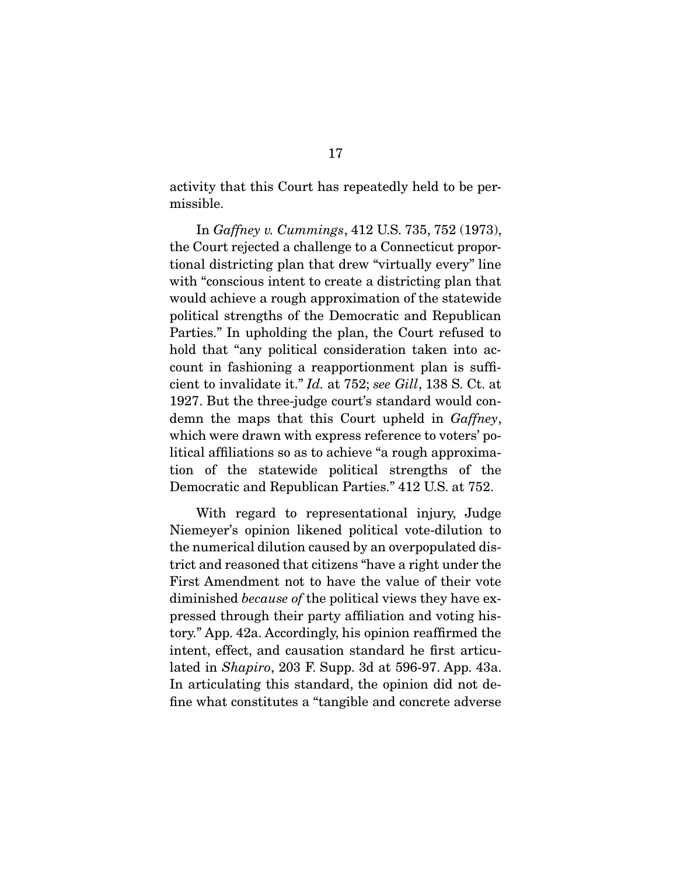activity that this Court has repeatedly held to be permissible.

 In *Gaffney v. Cummings*, 412 U.S. 735, 752 (1973), the Court rejected a challenge to a Connecticut proportional districting plan that drew "virtually every" line with "conscious intent to create a districting plan that would achieve a rough approximation of the statewide political strengths of the Democratic and Republican Parties." In upholding the plan, the Court refused to hold that "any political consideration taken into account in fashioning a reapportionment plan is sufficient to invalidate it." *Id.* at 752; *see Gill*, 138 S. Ct. at 1927. But the three-judge court's standard would condemn the maps that this Court upheld in *Gaffney*, which were drawn with express reference to voters' political affiliations so as to achieve "a rough approximation of the statewide political strengths of the Democratic and Republican Parties." 412 U.S. at 752.

 With regard to representational injury, Judge Niemeyer's opinion likened political vote-dilution to the numerical dilution caused by an overpopulated district and reasoned that citizens "have a right under the First Amendment not to have the value of their vote diminished *because of* the political views they have expressed through their party affiliation and voting history." App. 42a. Accordingly, his opinion reaffirmed the intent, effect, and causation standard he first articulated in *Shapiro*, 203 F. Supp. 3d at 596-97. App. 43a. In articulating this standard, the opinion did not define what constitutes a "tangible and concrete adverse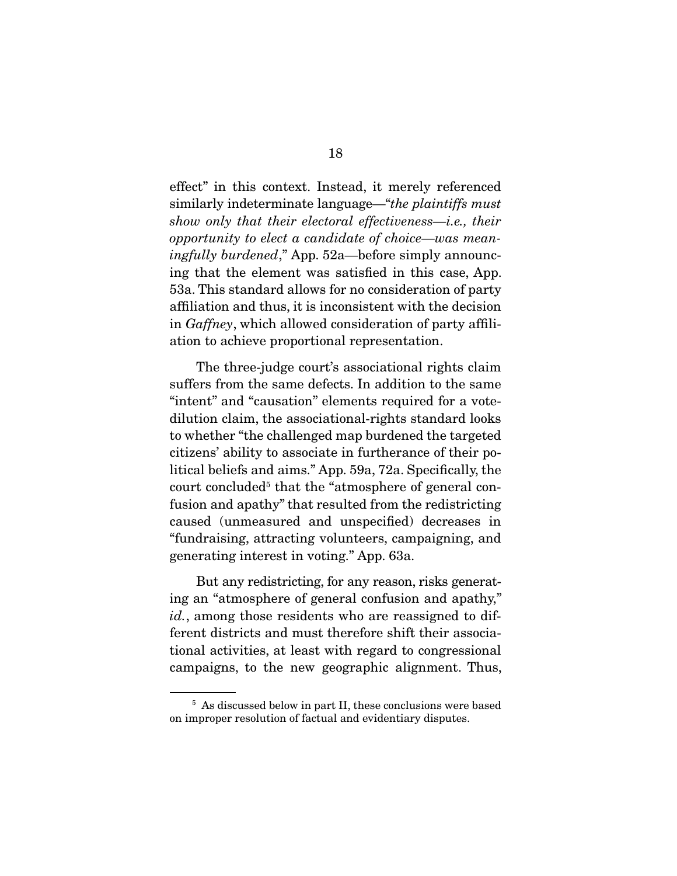effect" in this context. Instead, it merely referenced similarly indeterminate language—"*the plaintiffs must show only that their electoral effectiveness—i.e., their opportunity to elect a candidate of choice—was meaningfully burdened*," App. 52a—before simply announcing that the element was satisfied in this case, App. 53a. This standard allows for no consideration of party affiliation and thus, it is inconsistent with the decision in *Gaffney*, which allowed consideration of party affiliation to achieve proportional representation.

 The three-judge court's associational rights claim suffers from the same defects. In addition to the same "intent" and "causation" elements required for a votedilution claim, the associational-rights standard looks to whether "the challenged map burdened the targeted citizens' ability to associate in furtherance of their political beliefs and aims." App. 59a, 72a. Specifically, the court concluded<sup>5</sup> that the "atmosphere of general confusion and apathy" that resulted from the redistricting caused (unmeasured and unspecified) decreases in "fundraising, attracting volunteers, campaigning, and generating interest in voting." App. 63a.

 But any redistricting, for any reason, risks generating an "atmosphere of general confusion and apathy," *id.*, among those residents who are reassigned to different districts and must therefore shift their associational activities, at least with regard to congressional campaigns, to the new geographic alignment. Thus,

<sup>&</sup>lt;sup>5</sup> As discussed below in part II, these conclusions were based on improper resolution of factual and evidentiary disputes.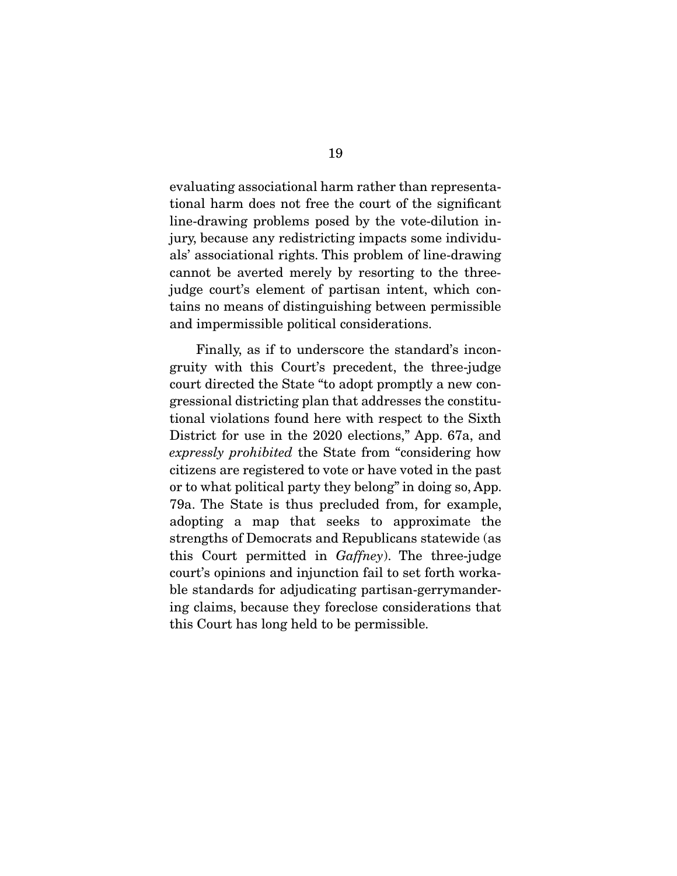evaluating associational harm rather than representational harm does not free the court of the significant line-drawing problems posed by the vote-dilution injury, because any redistricting impacts some individuals' associational rights. This problem of line-drawing cannot be averted merely by resorting to the threejudge court's element of partisan intent, which contains no means of distinguishing between permissible and impermissible political considerations.

 Finally, as if to underscore the standard's incongruity with this Court's precedent, the three-judge court directed the State "to adopt promptly a new congressional districting plan that addresses the constitutional violations found here with respect to the Sixth District for use in the 2020 elections," App. 67a, and *expressly prohibited* the State from "considering how citizens are registered to vote or have voted in the past or to what political party they belong" in doing so, App. 79a. The State is thus precluded from, for example, adopting a map that seeks to approximate the strengths of Democrats and Republicans statewide (as this Court permitted in *Gaffney*). The three-judge court's opinions and injunction fail to set forth workable standards for adjudicating partisan-gerrymandering claims, because they foreclose considerations that this Court has long held to be permissible.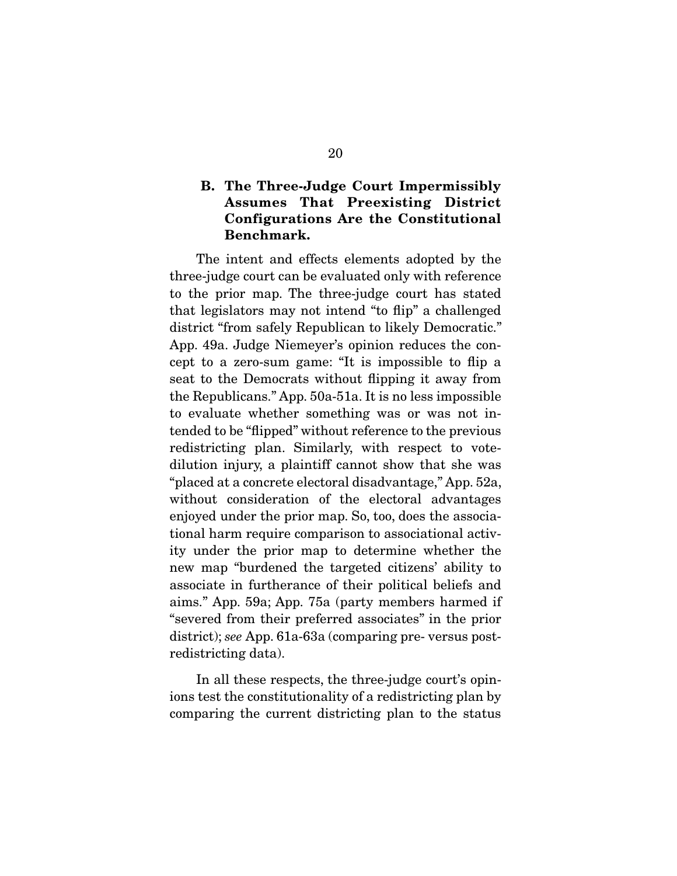## B. The Three-Judge Court Impermissibly Assumes That Preexisting District Configurations Are the Constitutional Benchmark.

 The intent and effects elements adopted by the three-judge court can be evaluated only with reference to the prior map. The three-judge court has stated that legislators may not intend "to flip" a challenged district "from safely Republican to likely Democratic." App. 49a. Judge Niemeyer's opinion reduces the concept to a zero-sum game: "It is impossible to flip a seat to the Democrats without flipping it away from the Republicans." App. 50a-51a. It is no less impossible to evaluate whether something was or was not intended to be "flipped" without reference to the previous redistricting plan. Similarly, with respect to votedilution injury, a plaintiff cannot show that she was "placed at a concrete electoral disadvantage," App. 52a, without consideration of the electoral advantages enjoyed under the prior map. So, too, does the associational harm require comparison to associational activity under the prior map to determine whether the new map "burdened the targeted citizens' ability to associate in furtherance of their political beliefs and aims." App. 59a; App. 75a (party members harmed if "severed from their preferred associates" in the prior district); *see* App. 61a-63a (comparing pre- versus postredistricting data).

 In all these respects, the three-judge court's opinions test the constitutionality of a redistricting plan by comparing the current districting plan to the status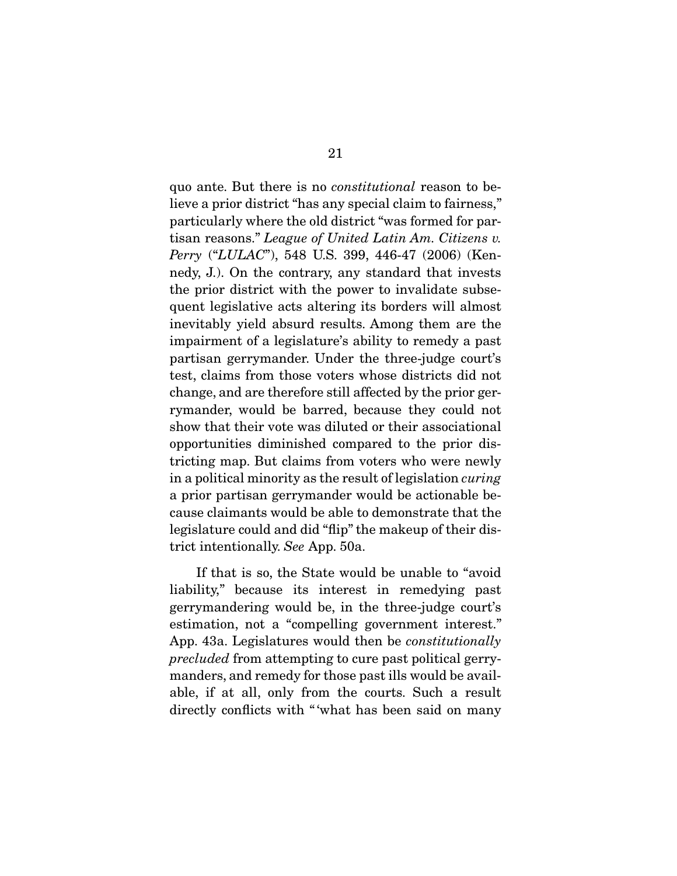quo ante. But there is no *constitutional* reason to believe a prior district "has any special claim to fairness," particularly where the old district "was formed for partisan reasons." *League of United Latin Am. Citizens v. Perry* ("*LULAC*"), 548 U.S. 399, 446-47 (2006) (Kennedy, J.). On the contrary, any standard that invests the prior district with the power to invalidate subsequent legislative acts altering its borders will almost inevitably yield absurd results. Among them are the impairment of a legislature's ability to remedy a past partisan gerrymander. Under the three-judge court's test, claims from those voters whose districts did not change, and are therefore still affected by the prior gerrymander, would be barred, because they could not show that their vote was diluted or their associational opportunities diminished compared to the prior districting map. But claims from voters who were newly in a political minority as the result of legislation *curing*  a prior partisan gerrymander would be actionable because claimants would be able to demonstrate that the legislature could and did "flip" the makeup of their district intentionally. *See* App. 50a.

 If that is so, the State would be unable to "avoid liability," because its interest in remedying past gerrymandering would be, in the three-judge court's estimation, not a "compelling government interest." App. 43a. Legislatures would then be *constitutionally precluded* from attempting to cure past political gerrymanders, and remedy for those past ills would be available, if at all, only from the courts. Such a result directly conflicts with "what has been said on many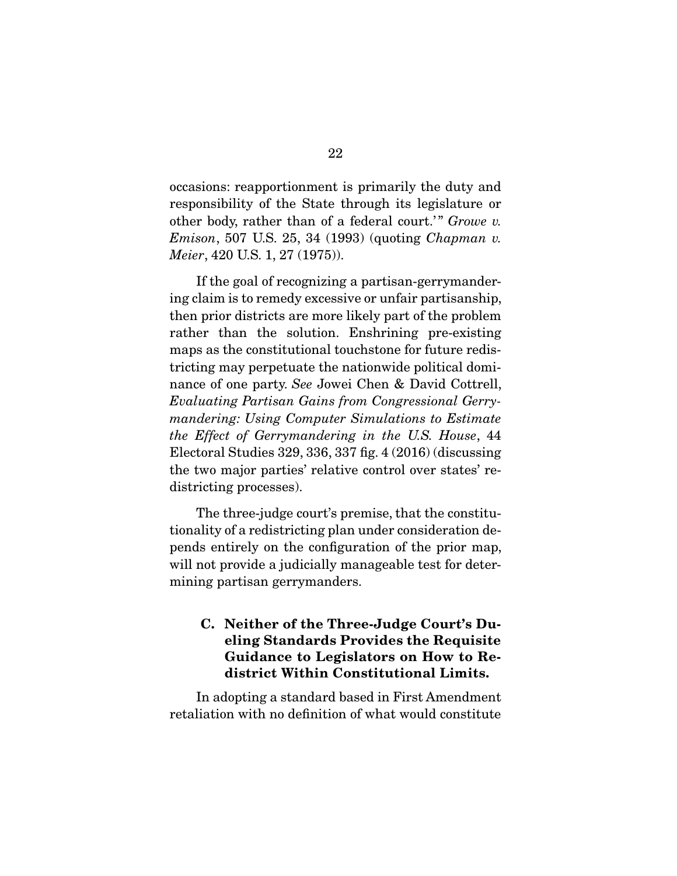occasions: reapportionment is primarily the duty and responsibility of the State through its legislature or other body, rather than of a federal court.'" *Growe v. Emison*, 507 U.S. 25, 34 (1993) (quoting *Chapman v. Meier*, 420 U.S. 1, 27 (1975)).

 If the goal of recognizing a partisan-gerrymandering claim is to remedy excessive or unfair partisanship, then prior districts are more likely part of the problem rather than the solution. Enshrining pre-existing maps as the constitutional touchstone for future redistricting may perpetuate the nationwide political dominance of one party. *See* Jowei Chen & David Cottrell, *Evaluating Partisan Gains from Congressional Gerrymandering: Using Computer Simulations to Estimate the Effect of Gerrymandering in the U.S. House*, 44 Electoral Studies 329, 336, 337 fig. 4 (2016) (discussing the two major parties' relative control over states' redistricting processes).

 The three-judge court's premise, that the constitutionality of a redistricting plan under consideration depends entirely on the configuration of the prior map, will not provide a judicially manageable test for determining partisan gerrymanders.

## C. Neither of the Three-Judge Court's Dueling Standards Provides the Requisite Guidance to Legislators on How to Redistrict Within Constitutional Limits.

 In adopting a standard based in First Amendment retaliation with no definition of what would constitute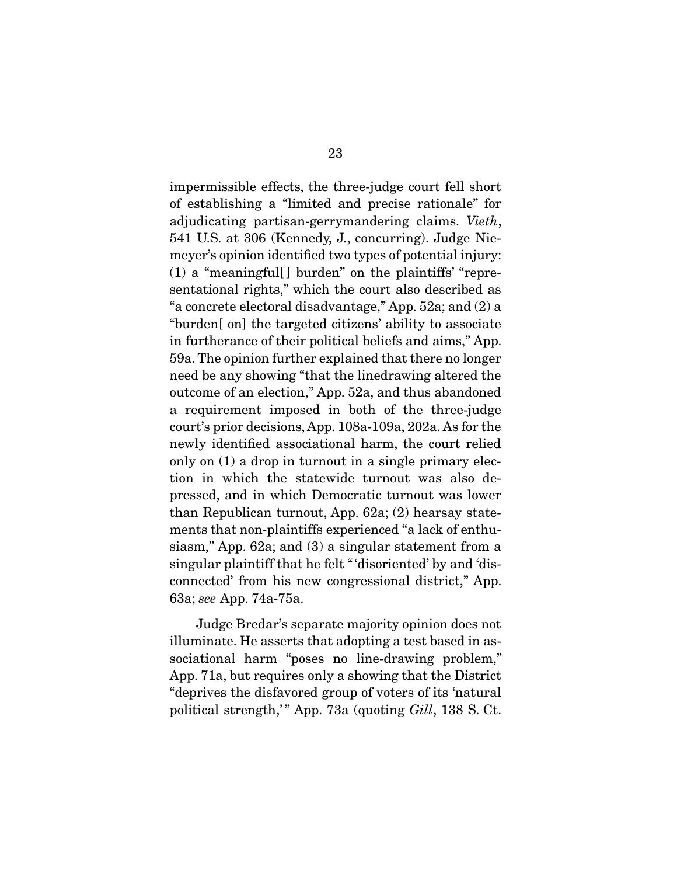impermissible effects, the three-judge court fell short of establishing a "limited and precise rationale" for adjudicating partisan-gerrymandering claims. *Vieth*, 541 U.S. at 306 (Kennedy, J., concurring). Judge Niemeyer's opinion identified two types of potential injury:  $(1)$  a "meaningful<sup>[]</sup> burden" on the plaintiffs' "representational rights," which the court also described as "a concrete electoral disadvantage," App. 52a; and (2) a "burden[ on] the targeted citizens' ability to associate in furtherance of their political beliefs and aims," App. 59a. The opinion further explained that there no longer need be any showing "that the linedrawing altered the outcome of an election," App. 52a, and thus abandoned a requirement imposed in both of the three-judge court's prior decisions, App. 108a-109a, 202a. As for the newly identified associational harm, the court relied only on (1) a drop in turnout in a single primary election in which the statewide turnout was also depressed, and in which Democratic turnout was lower than Republican turnout, App. 62a; (2) hearsay statements that non-plaintiffs experienced "a lack of enthusiasm," App. 62a; and (3) a singular statement from a singular plaintiff that he felt " 'disoriented' by and 'disconnected' from his new congressional district," App. 63a; *see* App. 74a-75a.

 Judge Bredar's separate majority opinion does not illuminate. He asserts that adopting a test based in associational harm "poses no line-drawing problem," App. 71a, but requires only a showing that the District "deprives the disfavored group of voters of its 'natural political strength," App. 73a (quoting *Gill*, 138 S. Ct.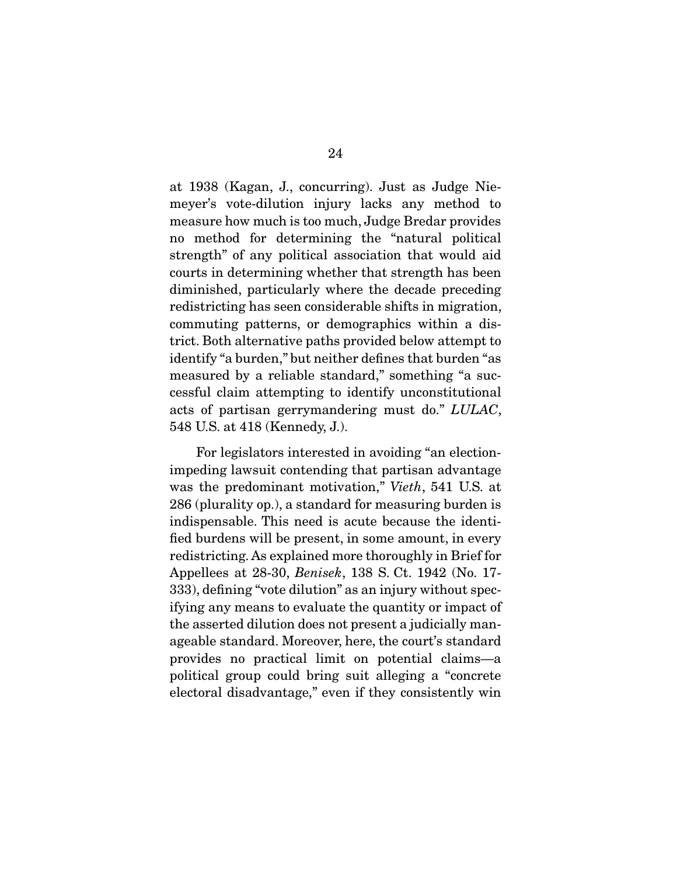at 1938 (Kagan, J., concurring). Just as Judge Niemeyer's vote-dilution injury lacks any method to measure how much is too much, Judge Bredar provides no method for determining the "natural political strength" of any political association that would aid courts in determining whether that strength has been diminished, particularly where the decade preceding redistricting has seen considerable shifts in migration, commuting patterns, or demographics within a district. Both alternative paths provided below attempt to identify "a burden," but neither defines that burden "as measured by a reliable standard," something "a successful claim attempting to identify unconstitutional acts of partisan gerrymandering must do." *LULAC*, 548 U.S. at 418 (Kennedy, J.).

 For legislators interested in avoiding "an electionimpeding lawsuit contending that partisan advantage was the predominant motivation," *Vieth*, 541 U.S. at 286 (plurality op.), a standard for measuring burden is indispensable. This need is acute because the identified burdens will be present, in some amount, in every redistricting. As explained more thoroughly in Brief for Appellees at 28-30, *Benisek*, 138 S. Ct. 1942 (No. 17- 333), defining "vote dilution" as an injury without specifying any means to evaluate the quantity or impact of the asserted dilution does not present a judicially manageable standard. Moreover, here, the court's standard provides no practical limit on potential claims—a political group could bring suit alleging a "concrete electoral disadvantage," even if they consistently win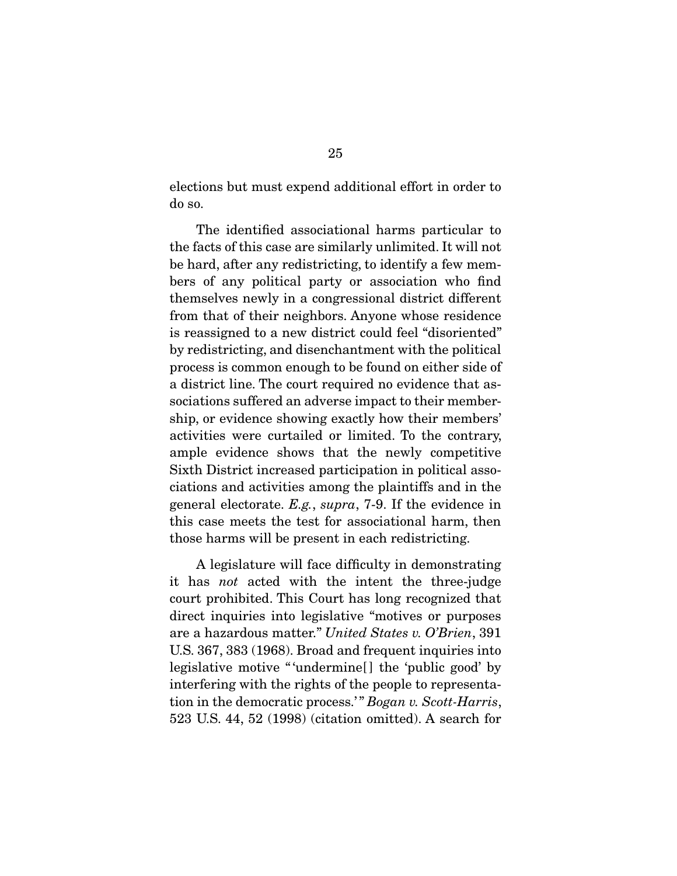elections but must expend additional effort in order to do so.

 The identified associational harms particular to the facts of this case are similarly unlimited. It will not be hard, after any redistricting, to identify a few members of any political party or association who find themselves newly in a congressional district different from that of their neighbors. Anyone whose residence is reassigned to a new district could feel "disoriented" by redistricting, and disenchantment with the political process is common enough to be found on either side of a district line. The court required no evidence that associations suffered an adverse impact to their membership, or evidence showing exactly how their members' activities were curtailed or limited. To the contrary, ample evidence shows that the newly competitive Sixth District increased participation in political associations and activities among the plaintiffs and in the general electorate. *E.g.*, *supra*, 7-9. If the evidence in this case meets the test for associational harm, then those harms will be present in each redistricting.

 A legislature will face difficulty in demonstrating it has *not* acted with the intent the three-judge court prohibited. This Court has long recognized that direct inquiries into legislative "motives or purposes are a hazardous matter." *United States v. O'Brien*, 391 U.S. 367, 383 (1968). Broad and frequent inquiries into legislative motive " 'undermine[ ] the 'public good' by interfering with the rights of the people to representation in the democratic process.' " *Bogan v. Scott-Harris*, 523 U.S. 44, 52 (1998) (citation omitted). A search for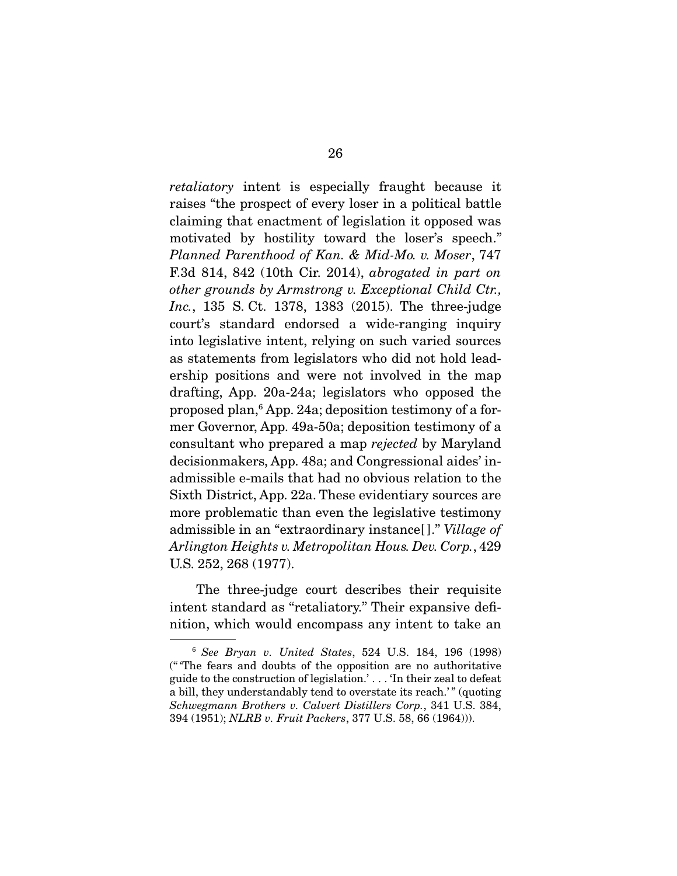*retaliatory* intent is especially fraught because it raises "the prospect of every loser in a political battle claiming that enactment of legislation it opposed was motivated by hostility toward the loser's speech." *Planned Parenthood of Kan. & Mid-Mo. v. Moser*, 747 F.3d 814, 842 (10th Cir. 2014), *abrogated in part on other grounds by Armstrong v. Exceptional Child Ctr., Inc.*, 135 S. Ct. 1378, 1383 (2015). The three-judge court's standard endorsed a wide-ranging inquiry into legislative intent, relying on such varied sources as statements from legislators who did not hold leadership positions and were not involved in the map drafting, App. 20a-24a; legislators who opposed the proposed plan,6 App. 24a; deposition testimony of a former Governor, App. 49a-50a; deposition testimony of a consultant who prepared a map *rejected* by Maryland decisionmakers, App. 48a; and Congressional aides' inadmissible e-mails that had no obvious relation to the Sixth District, App. 22a. These evidentiary sources are more problematic than even the legislative testimony admissible in an "extraordinary instance[ ]." *Village of Arlington Heights v. Metropolitan Hous. Dev. Corp.*, 429 U.S. 252, 268 (1977).

 The three-judge court describes their requisite intent standard as "retaliatory." Their expansive definition, which would encompass any intent to take an

<sup>6</sup> *See Bryan v. United States*, 524 U.S. 184, 196 (1998) (" 'The fears and doubts of the opposition are no authoritative guide to the construction of legislation.' . . . 'In their zeal to defeat a bill, they understandably tend to overstate its reach.'" (quoting *Schwegmann Brothers v. Calvert Distillers Corp.*, 341 U.S. 384, 394 (1951); *NLRB v. Fruit Packers*, 377 U.S. 58, 66 (1964))).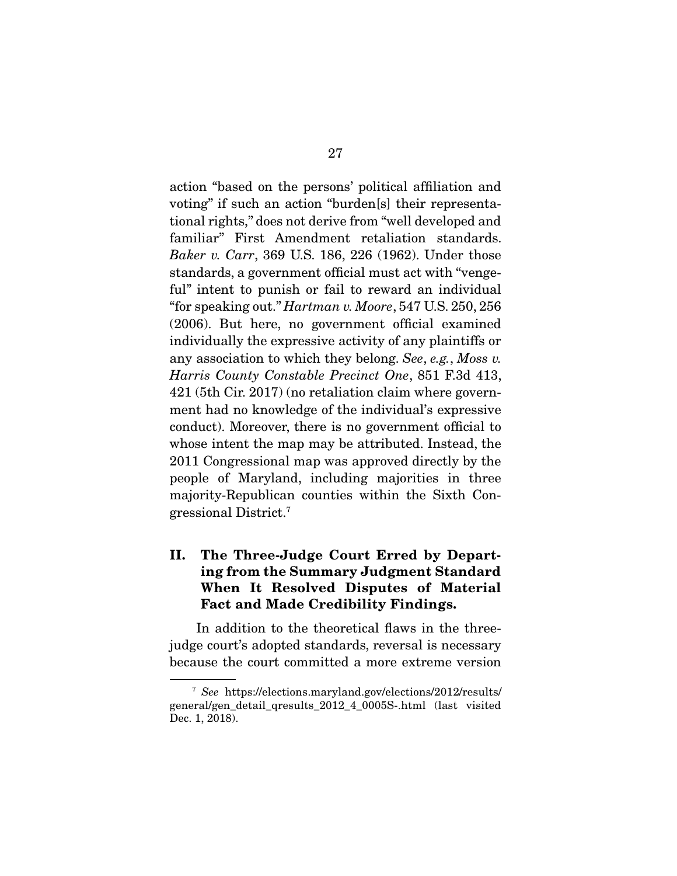action "based on the persons' political affiliation and voting" if such an action "burden[s] their representational rights," does not derive from "well developed and familiar" First Amendment retaliation standards. *Baker v. Carr*, 369 U.S. 186, 226 (1962). Under those standards, a government official must act with "vengeful" intent to punish or fail to reward an individual "for speaking out." *Hartman v. Moore*, 547 U.S. 250, 256 (2006). But here, no government official examined individually the expressive activity of any plaintiffs or any association to which they belong. *See*, *e.g.*, *Moss v. Harris County Constable Precinct One*, 851 F.3d 413, 421 (5th Cir. 2017) (no retaliation claim where government had no knowledge of the individual's expressive conduct). Moreover, there is no government official to whose intent the map may be attributed. Instead, the 2011 Congressional map was approved directly by the people of Maryland, including majorities in three majority-Republican counties within the Sixth Congressional District.7

## II. The Three-Judge Court Erred by Departing from the Summary Judgment Standard When It Resolved Disputes of Material Fact and Made Credibility Findings.

 In addition to the theoretical flaws in the threejudge court's adopted standards, reversal is necessary because the court committed a more extreme version

<sup>7</sup> *See* https://elections.maryland.gov/elections/2012/results/ general/gen\_detail\_qresults\_2012\_4\_0005S-.html (last visited Dec. 1, 2018).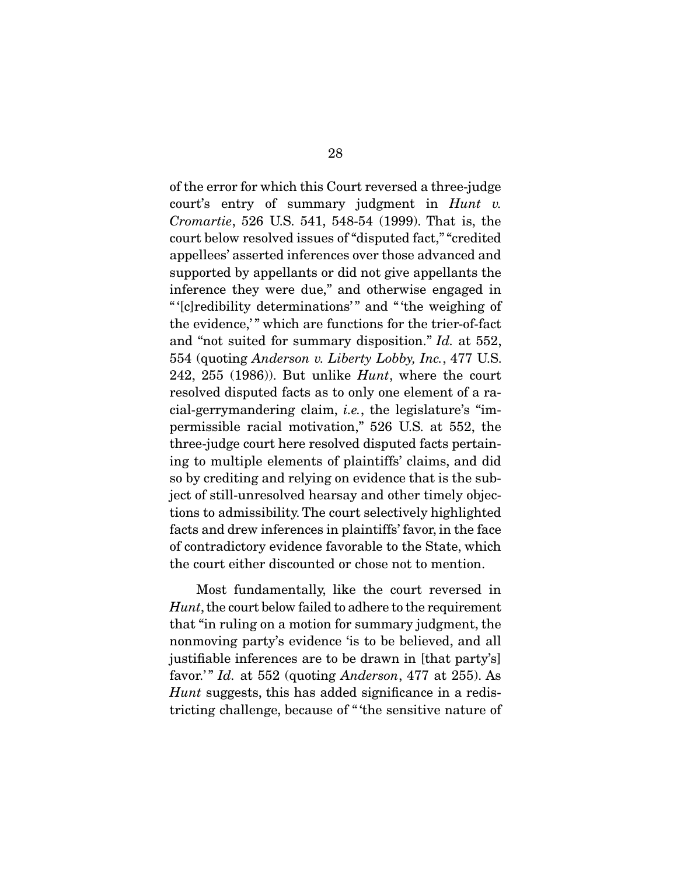of the error for which this Court reversed a three-judge court's entry of summary judgment in *Hunt v. Cromartie*, 526 U.S. 541, 548-54 (1999). That is, the court below resolved issues of "disputed fact," "credited appellees' asserted inferences over those advanced and supported by appellants or did not give appellants the inference they were due," and otherwise engaged in " '[c]redibility determinations' " and " 'the weighing of the evidence," which are functions for the trier-of-fact and "not suited for summary disposition." *Id.* at 552, 554 (quoting *Anderson v. Liberty Lobby, Inc.*, 477 U.S. 242, 255 (1986)). But unlike *Hunt*, where the court resolved disputed facts as to only one element of a racial-gerrymandering claim, *i.e.*, the legislature's "impermissible racial motivation," 526 U.S. at 552, the three-judge court here resolved disputed facts pertaining to multiple elements of plaintiffs' claims, and did so by crediting and relying on evidence that is the subject of still-unresolved hearsay and other timely objections to admissibility. The court selectively highlighted facts and drew inferences in plaintiffs' favor, in the face of contradictory evidence favorable to the State, which the court either discounted or chose not to mention.

 Most fundamentally, like the court reversed in *Hunt*, the court below failed to adhere to the requirement that "in ruling on a motion for summary judgment, the nonmoving party's evidence 'is to be believed, and all justifiable inferences are to be drawn in [that party's] favor.' " *Id.* at 552 (quoting *Anderson*, 477 at 255). As *Hunt* suggests, this has added significance in a redistricting challenge, because of " 'the sensitive nature of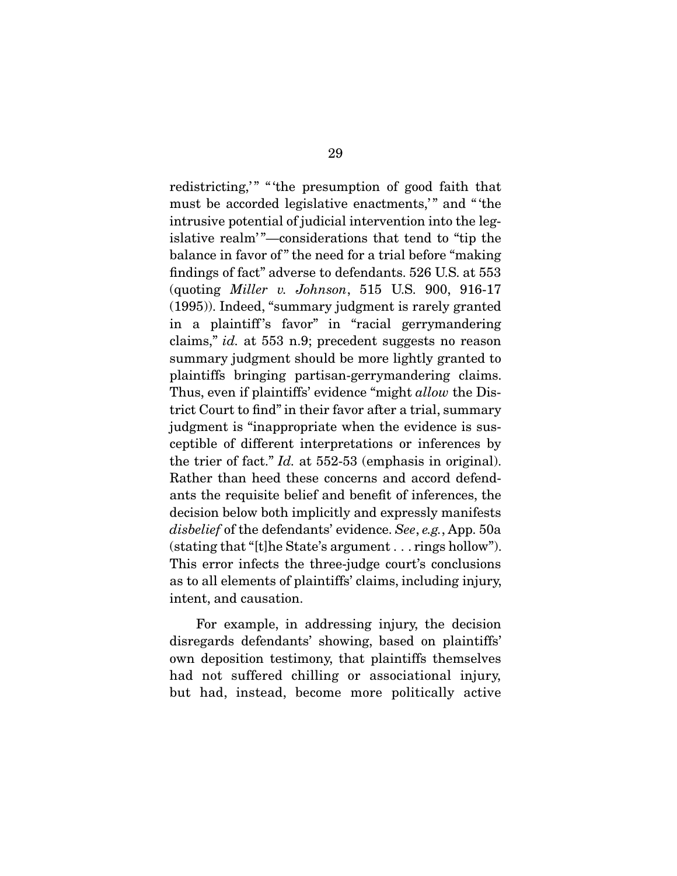redistricting," "the presumption of good faith that must be accorded legislative enactments," and "the intrusive potential of judicial intervention into the legislative realm'"—considerations that tend to "tip the balance in favor of " the need for a trial before "making findings of fact" adverse to defendants. 526 U.S. at 553 (quoting *Miller v. Johnson*, 515 U.S. 900, 916-17 (1995)). Indeed, "summary judgment is rarely granted in a plaintiff's favor" in "racial gerrymandering claims," *id.* at 553 n.9; precedent suggests no reason summary judgment should be more lightly granted to plaintiffs bringing partisan-gerrymandering claims. Thus, even if plaintiffs' evidence "might *allow* the District Court to find" in their favor after a trial, summary judgment is "inappropriate when the evidence is susceptible of different interpretations or inferences by the trier of fact." *Id.* at 552-53 (emphasis in original). Rather than heed these concerns and accord defendants the requisite belief and benefit of inferences, the decision below both implicitly and expressly manifests *disbelief* of the defendants' evidence. *See*, *e.g.*, App. 50a (stating that "[t]he State's argument . . . rings hollow"). This error infects the three-judge court's conclusions as to all elements of plaintiffs' claims, including injury, intent, and causation.

 For example, in addressing injury, the decision disregards defendants' showing, based on plaintiffs' own deposition testimony, that plaintiffs themselves had not suffered chilling or associational injury, but had, instead, become more politically active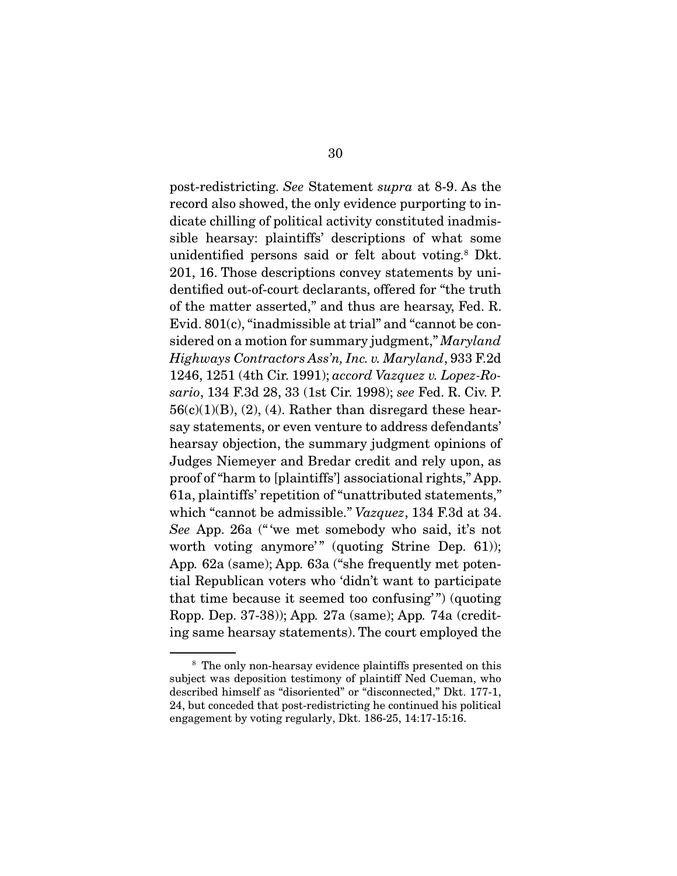post-redistricting. *See* Statement *supra* at 8-9. As the record also showed, the only evidence purporting to indicate chilling of political activity constituted inadmissible hearsay: plaintiffs' descriptions of what some unidentified persons said or felt about voting.<sup>8</sup> Dkt. 201, 16. Those descriptions convey statements by unidentified out-of-court declarants, offered for "the truth of the matter asserted," and thus are hearsay, Fed. R. Evid. 801(c), "inadmissible at trial" and "cannot be considered on a motion for summary judgment," *Maryland Highways Contractors Ass'n, Inc. v. Maryland*, 933 F.2d 1246, 1251 (4th Cir. 1991); *accord Vazquez v. Lopez-Rosario*, 134 F.3d 28, 33 (1st Cir. 1998); *see* Fed. R. Civ. P.  $56(c)(1)(B)$ , (2), (4). Rather than disregard these hearsay statements, or even venture to address defendants' hearsay objection, the summary judgment opinions of Judges Niemeyer and Bredar credit and rely upon, as proof of "harm to [plaintiffs'] associational rights," App. 61a, plaintiffs' repetition of "unattributed statements," which "cannot be admissible." *Vazquez*, 134 F.3d at 34. *See* App. 26a (" 'we met somebody who said, it's not worth voting anymore'" (quoting Strine Dep. 61)); App*.* 62a (same); App*.* 63a ("she frequently met potential Republican voters who 'didn't want to participate that time because it seemed too confusing'") (quoting Ropp. Dep. 37-38)); App*.* 27a (same); App*.* 74a (crediting same hearsay statements). The court employed the

<sup>8</sup> The only non-hearsay evidence plaintiffs presented on this subject was deposition testimony of plaintiff Ned Cueman, who described himself as "disoriented" or "disconnected," Dkt. 177-1, 24, but conceded that post-redistricting he continued his political engagement by voting regularly, Dkt. 186-25, 14:17-15:16.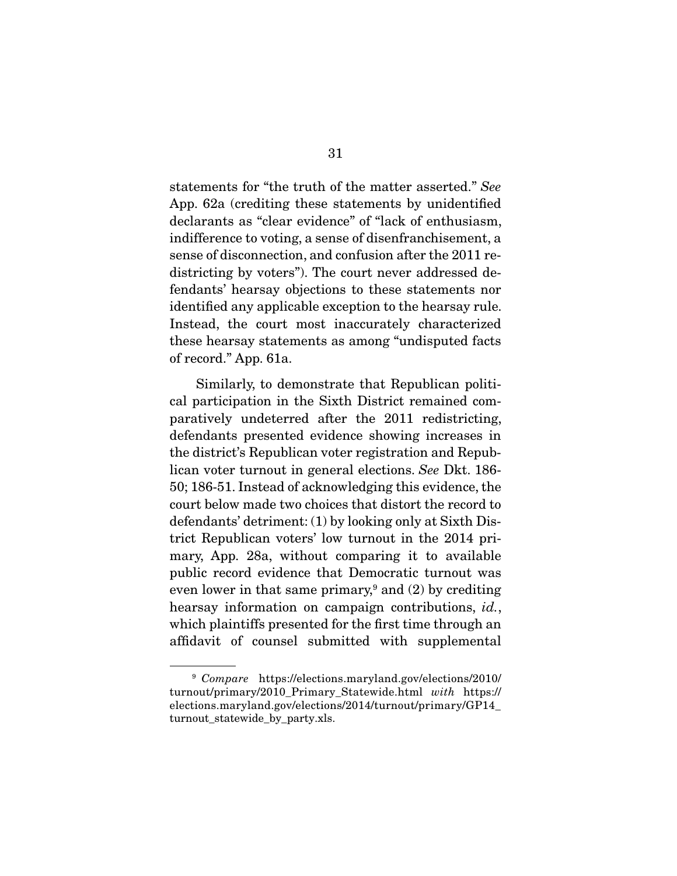statements for "the truth of the matter asserted." *See*  App. 62a (crediting these statements by unidentified declarants as "clear evidence" of "lack of enthusiasm, indifference to voting, a sense of disenfranchisement, a sense of disconnection, and confusion after the 2011 redistricting by voters"). The court never addressed defendants' hearsay objections to these statements nor identified any applicable exception to the hearsay rule. Instead, the court most inaccurately characterized these hearsay statements as among "undisputed facts of record." App. 61a.

 Similarly, to demonstrate that Republican political participation in the Sixth District remained comparatively undeterred after the 2011 redistricting, defendants presented evidence showing increases in the district's Republican voter registration and Republican voter turnout in general elections. *See* Dkt. 186- 50; 186-51. Instead of acknowledging this evidence, the court below made two choices that distort the record to defendants' detriment: (1) by looking only at Sixth District Republican voters' low turnout in the 2014 primary, App. 28a, without comparing it to available public record evidence that Democratic turnout was even lower in that same primary,<sup>9</sup> and  $(2)$  by crediting hearsay information on campaign contributions, *id.*, which plaintiffs presented for the first time through an affidavit of counsel submitted with supplemental

<sup>9</sup> *Compare* https://elections.maryland.gov/elections/2010/ turnout/primary/2010\_Primary\_Statewide.html *with* https:// elections.maryland.gov/elections/2014/turnout/primary/GP14\_ turnout statewide by party.xls.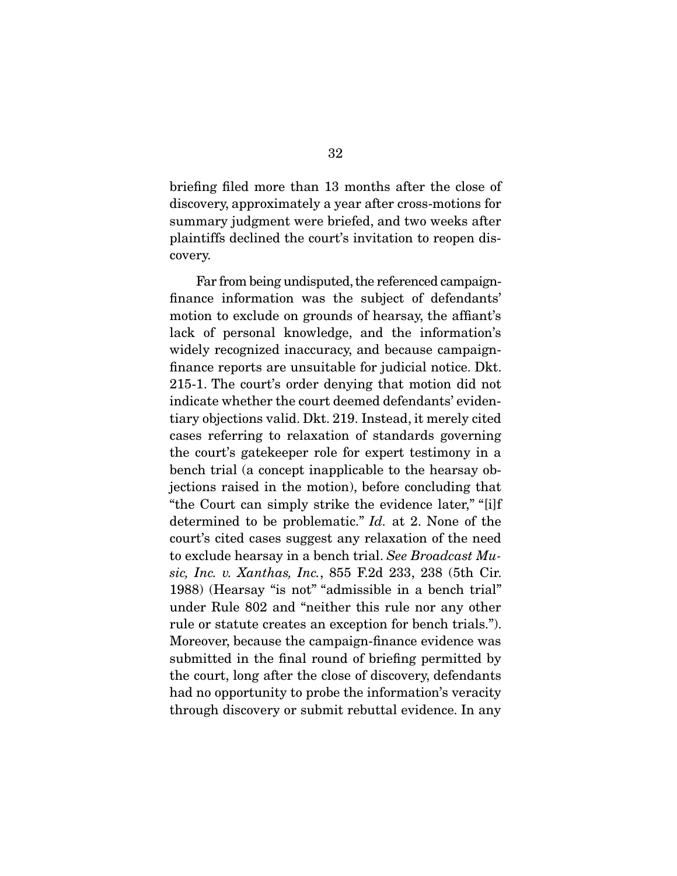briefing filed more than 13 months after the close of discovery, approximately a year after cross-motions for summary judgment were briefed, and two weeks after plaintiffs declined the court's invitation to reopen discovery.

 Far from being undisputed, the referenced campaignfinance information was the subject of defendants' motion to exclude on grounds of hearsay, the affiant's lack of personal knowledge, and the information's widely recognized inaccuracy, and because campaignfinance reports are unsuitable for judicial notice. Dkt. 215-1. The court's order denying that motion did not indicate whether the court deemed defendants' evidentiary objections valid. Dkt. 219. Instead, it merely cited cases referring to relaxation of standards governing the court's gatekeeper role for expert testimony in a bench trial (a concept inapplicable to the hearsay objections raised in the motion), before concluding that "the Court can simply strike the evidence later," "[i]f determined to be problematic." *Id.* at 2. None of the court's cited cases suggest any relaxation of the need to exclude hearsay in a bench trial. *See Broadcast Music, Inc. v. Xanthas, Inc.*, 855 F.2d 233, 238 (5th Cir. 1988) (Hearsay "is not" "admissible in a bench trial" under Rule 802 and "neither this rule nor any other rule or statute creates an exception for bench trials."). Moreover, because the campaign-finance evidence was submitted in the final round of briefing permitted by the court, long after the close of discovery, defendants had no opportunity to probe the information's veracity through discovery or submit rebuttal evidence. In any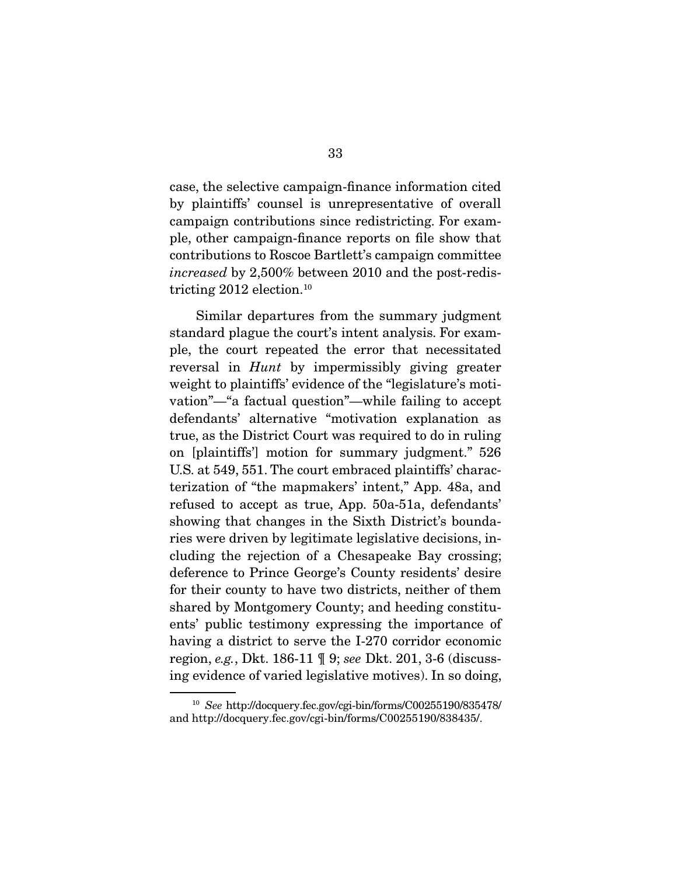case, the selective campaign-finance information cited by plaintiffs' counsel is unrepresentative of overall campaign contributions since redistricting. For example, other campaign-finance reports on file show that contributions to Roscoe Bartlett's campaign committee *increased* by 2,500% between 2010 and the post-redistricting  $2012$  election.<sup>10</sup>

 Similar departures from the summary judgment standard plague the court's intent analysis. For example, the court repeated the error that necessitated reversal in *Hunt* by impermissibly giving greater weight to plaintiffs' evidence of the "legislature's motivation"—"a factual question"—while failing to accept defendants' alternative "motivation explanation as true, as the District Court was required to do in ruling on [plaintiffs'] motion for summary judgment." 526 U.S. at 549, 551. The court embraced plaintiffs' characterization of "the mapmakers' intent," App. 48a, and refused to accept as true, App. 50a-51a, defendants' showing that changes in the Sixth District's boundaries were driven by legitimate legislative decisions, including the rejection of a Chesapeake Bay crossing; deference to Prince George's County residents' desire for their county to have two districts, neither of them shared by Montgomery County; and heeding constituents' public testimony expressing the importance of having a district to serve the I-270 corridor economic region, *e.g.*, Dkt. 186-11 ¶ 9; *see* Dkt. 201, 3-6 (discussing evidence of varied legislative motives). In so doing,

<sup>10</sup> *See* http://docquery.fec.gov/cgi-bin/forms/C00255190/835478/ and http://docquery.fec.gov/cgi-bin/forms/C00255190/838435/.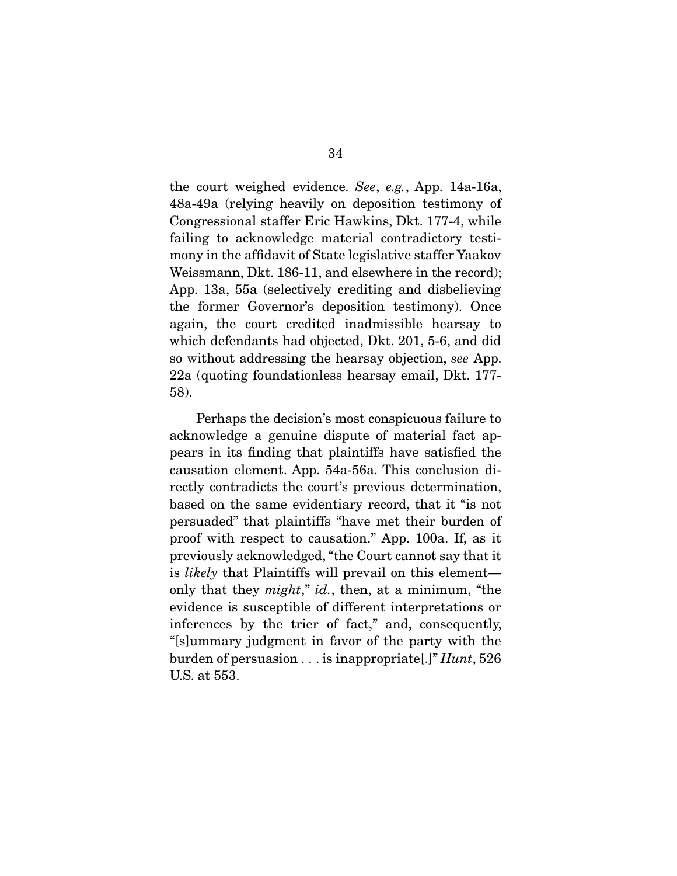the court weighed evidence. *See*, *e.g.*, App. 14a-16a, 48a-49a (relying heavily on deposition testimony of Congressional staffer Eric Hawkins, Dkt. 177-4, while failing to acknowledge material contradictory testimony in the affidavit of State legislative staffer Yaakov Weissmann, Dkt. 186-11, and elsewhere in the record); App. 13a, 55a (selectively crediting and disbelieving the former Governor's deposition testimony). Once again, the court credited inadmissible hearsay to which defendants had objected, Dkt. 201, 5-6, and did so without addressing the hearsay objection, *see* App. 22a (quoting foundationless hearsay email, Dkt. 177- 58).

 Perhaps the decision's most conspicuous failure to acknowledge a genuine dispute of material fact appears in its finding that plaintiffs have satisfied the causation element. App. 54a-56a. This conclusion directly contradicts the court's previous determination, based on the same evidentiary record, that it "is not persuaded" that plaintiffs "have met their burden of proof with respect to causation." App. 100a. If, as it previously acknowledged, "the Court cannot say that it is *likely* that Plaintiffs will prevail on this element only that they *might*," *id.*, then, at a minimum, "the evidence is susceptible of different interpretations or inferences by the trier of fact," and, consequently, "[s]ummary judgment in favor of the party with the burden of persuasion . . . is inappropriate[.]" *Hunt*, 526 U.S. at 553.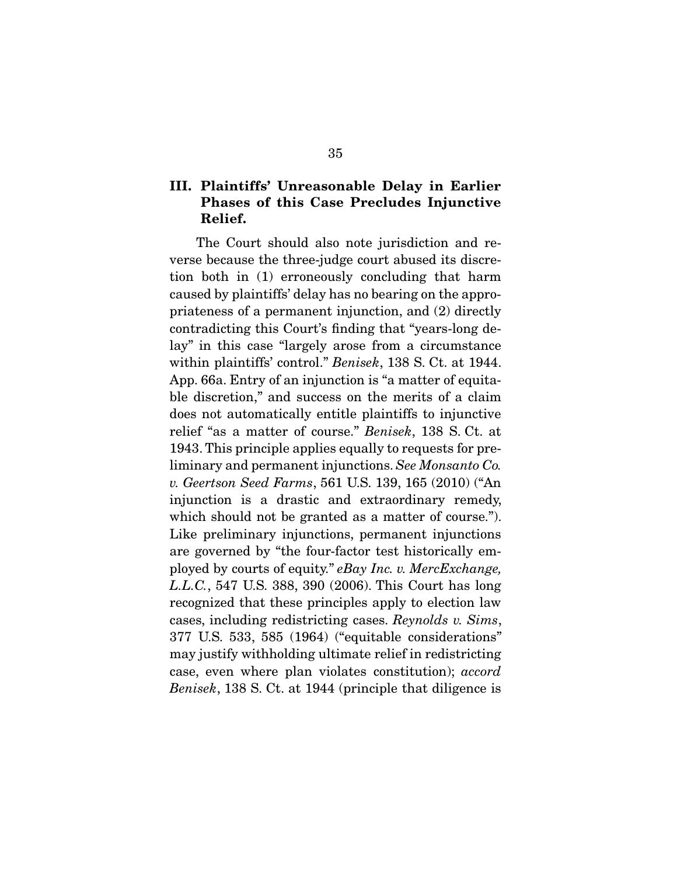## III. Plaintiffs' Unreasonable Delay in Earlier Phases of this Case Precludes Injunctive Relief.

 The Court should also note jurisdiction and reverse because the three-judge court abused its discretion both in (1) erroneously concluding that harm caused by plaintiffs' delay has no bearing on the appropriateness of a permanent injunction, and (2) directly contradicting this Court's finding that "years-long delay" in this case "largely arose from a circumstance within plaintiffs' control." *Benisek*, 138 S. Ct. at 1944. App. 66a. Entry of an injunction is "a matter of equitable discretion," and success on the merits of a claim does not automatically entitle plaintiffs to injunctive relief "as a matter of course." *Benisek*, 138 S. Ct. at 1943. This principle applies equally to requests for preliminary and permanent injunctions. *See Monsanto Co. v. Geertson Seed Farms*, 561 U.S. 139, 165 (2010) ("An injunction is a drastic and extraordinary remedy, which should not be granted as a matter of course."). Like preliminary injunctions, permanent injunctions are governed by "the four-factor test historically employed by courts of equity." *eBay Inc. v. MercExchange, L.L.C.*, 547 U.S. 388, 390 (2006). This Court has long recognized that these principles apply to election law cases, including redistricting cases. *Reynolds v. Sims*, 377 U.S. 533, 585 (1964) ("equitable considerations" may justify withholding ultimate relief in redistricting case, even where plan violates constitution); *accord Benisek*, 138 S. Ct. at 1944 (principle that diligence is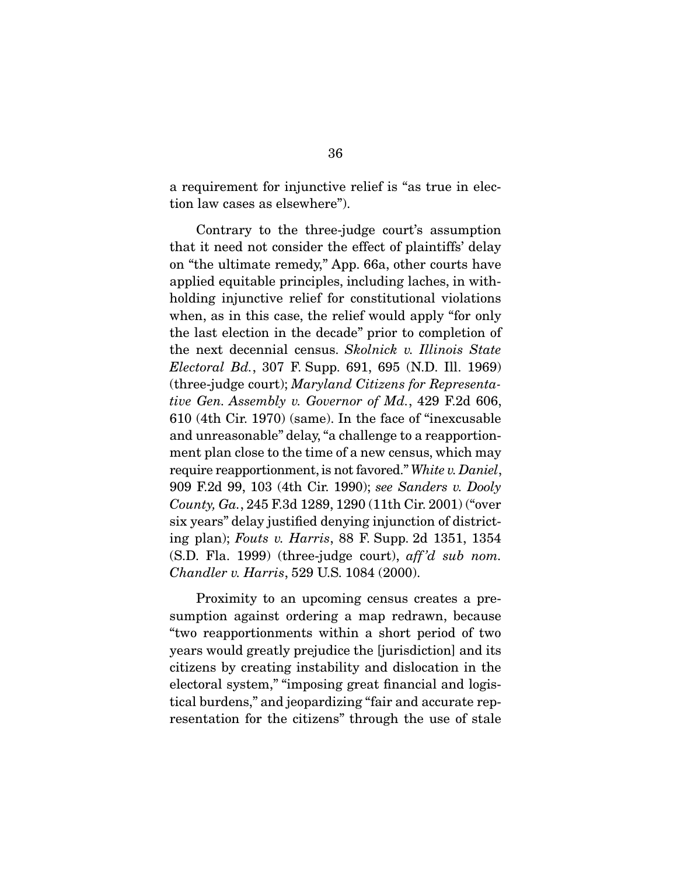a requirement for injunctive relief is "as true in election law cases as elsewhere").

 Contrary to the three-judge court's assumption that it need not consider the effect of plaintiffs' delay on "the ultimate remedy," App. 66a, other courts have applied equitable principles, including laches, in withholding injunctive relief for constitutional violations when, as in this case, the relief would apply "for only the last election in the decade" prior to completion of the next decennial census. *Skolnick v. Illinois State Electoral Bd.*, 307 F. Supp. 691, 695 (N.D. Ill. 1969) (three-judge court); *Maryland Citizens for Representative Gen. Assembly v. Governor of Md.*, 429 F.2d 606, 610 (4th Cir. 1970) (same). In the face of "inexcusable and unreasonable" delay, "a challenge to a reapportionment plan close to the time of a new census, which may require reapportionment, is not favored." *White v. Daniel*, 909 F.2d 99, 103 (4th Cir. 1990); *see Sanders v. Dooly County, Ga.*, 245 F.3d 1289, 1290 (11th Cir. 2001) ("over six years" delay justified denying injunction of districting plan); *Fouts v. Harris*, 88 F. Supp. 2d 1351, 1354 (S.D. Fla. 1999) (three-judge court), *aff 'd sub nom. Chandler v. Harris*, 529 U.S. 1084 (2000).

 Proximity to an upcoming census creates a presumption against ordering a map redrawn, because "two reapportionments within a short period of two years would greatly prejudice the [jurisdiction] and its citizens by creating instability and dislocation in the electoral system," "imposing great financial and logistical burdens," and jeopardizing "fair and accurate representation for the citizens" through the use of stale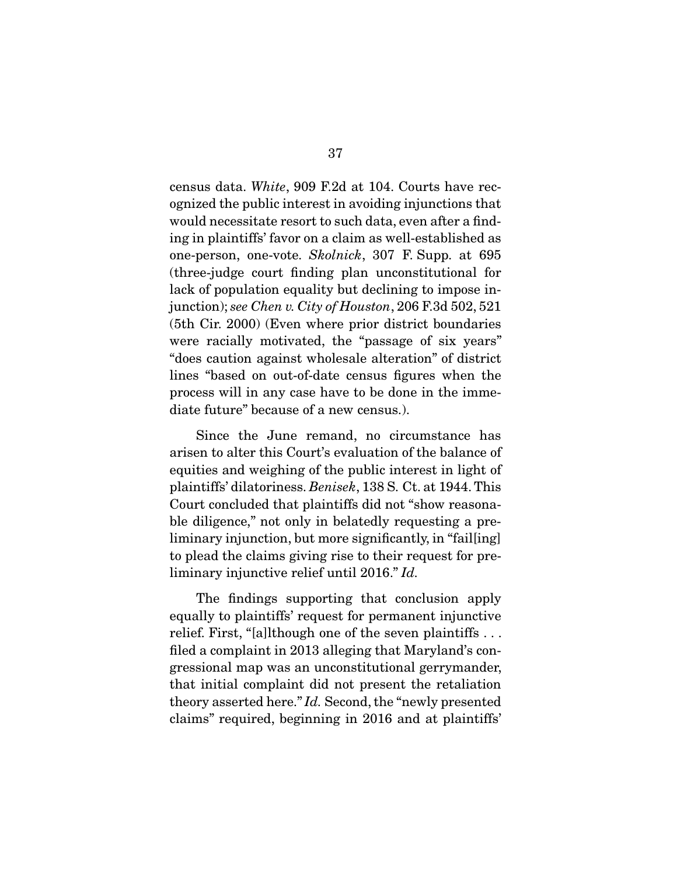census data. *White*, 909 F.2d at 104. Courts have recognized the public interest in avoiding injunctions that would necessitate resort to such data, even after a finding in plaintiffs' favor on a claim as well-established as one-person, one-vote. *Skolnick*, 307 F. Supp. at 695 (three-judge court finding plan unconstitutional for lack of population equality but declining to impose injunction); *see Chen v. City of Houston*, 206 F.3d 502, 521 (5th Cir. 2000) (Even where prior district boundaries were racially motivated, the "passage of six years" "does caution against wholesale alteration" of district lines "based on out-of-date census figures when the process will in any case have to be done in the immediate future" because of a new census.).

 Since the June remand, no circumstance has arisen to alter this Court's evaluation of the balance of equities and weighing of the public interest in light of plaintiffs' dilatoriness. *Benisek*, 138 S. Ct. at 1944. This Court concluded that plaintiffs did not "show reasonable diligence," not only in belatedly requesting a preliminary injunction, but more significantly, in "fail[ing] to plead the claims giving rise to their request for preliminary injunctive relief until 2016." *Id.*

 The findings supporting that conclusion apply equally to plaintiffs' request for permanent injunctive relief. First, "[a]lthough one of the seven plaintiffs . . . filed a complaint in 2013 alleging that Maryland's congressional map was an unconstitutional gerrymander, that initial complaint did not present the retaliation theory asserted here." *Id.* Second, the "newly presented claims" required, beginning in 2016 and at plaintiffs'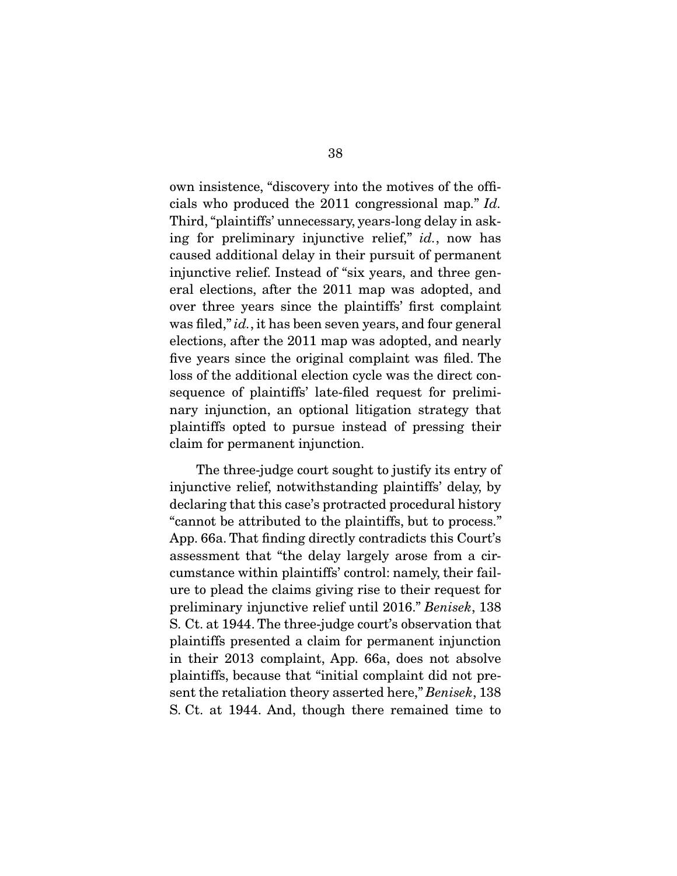own insistence, "discovery into the motives of the officials who produced the 2011 congressional map." *Id.* Third, "plaintiffs' unnecessary, years-long delay in asking for preliminary injunctive relief," *id.*, now has caused additional delay in their pursuit of permanent injunctive relief. Instead of "six years, and three general elections, after the 2011 map was adopted, and over three years since the plaintiffs' first complaint was filed," *id.*, it has been seven years, and four general elections, after the 2011 map was adopted, and nearly five years since the original complaint was filed. The loss of the additional election cycle was the direct consequence of plaintiffs' late-filed request for preliminary injunction, an optional litigation strategy that plaintiffs opted to pursue instead of pressing their claim for permanent injunction.

 The three-judge court sought to justify its entry of injunctive relief, notwithstanding plaintiffs' delay, by declaring that this case's protracted procedural history "cannot be attributed to the plaintiffs, but to process." App. 66a. That finding directly contradicts this Court's assessment that "the delay largely arose from a circumstance within plaintiffs' control: namely, their failure to plead the claims giving rise to their request for preliminary injunctive relief until 2016." *Benisek*, 138 S. Ct. at 1944. The three-judge court's observation that plaintiffs presented a claim for permanent injunction in their 2013 complaint, App. 66a, does not absolve plaintiffs, because that "initial complaint did not present the retaliation theory asserted here," *Benisek*, 138 S. Ct. at 1944. And, though there remained time to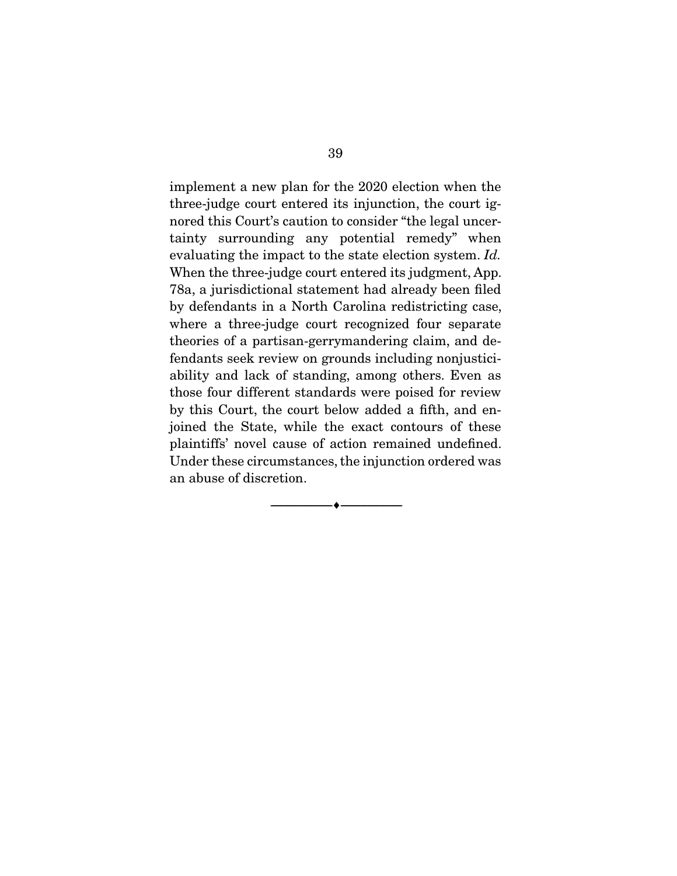implement a new plan for the 2020 election when the three-judge court entered its injunction, the court ignored this Court's caution to consider "the legal uncertainty surrounding any potential remedy" when evaluating the impact to the state election system. *Id.* When the three-judge court entered its judgment, App. 78a, a jurisdictional statement had already been filed by defendants in a North Carolina redistricting case, where a three-judge court recognized four separate theories of a partisan-gerrymandering claim, and defendants seek review on grounds including nonjusticiability and lack of standing, among others. Even as those four different standards were poised for review by this Court, the court below added a fifth, and enjoined the State, while the exact contours of these plaintiffs' novel cause of action remained undefined. Under these circumstances, the injunction ordered was an abuse of discretion.

--------------------------------- ---------------------------------